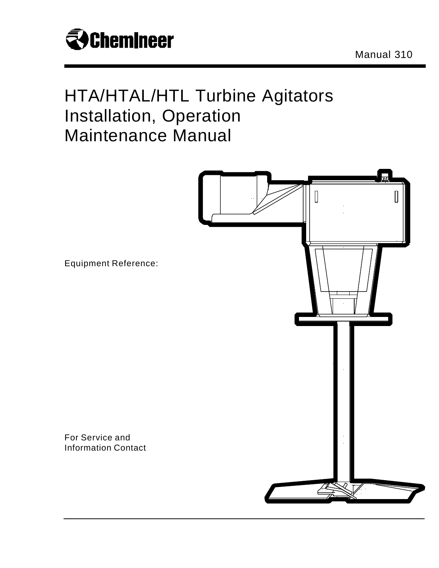

# HTA/HTAL/HTL Turbine Agitators Installation, Operation Maintenance Manual



Equipment Reference:

For Service and Information Contact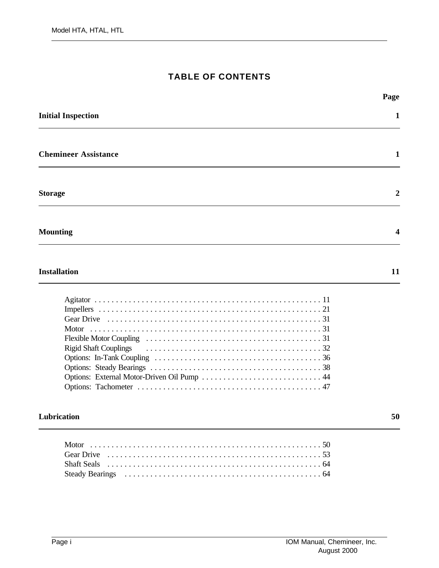# **TABLE OF CONTENTS**

|                                                                             | Page |
|-----------------------------------------------------------------------------|------|
| <b>Initial Inspection</b>                                                   | 1    |
| <b>Chemineer Assistance</b>                                                 | 1    |
| <b>Storage</b>                                                              | 2    |
| <b>Mounting</b>                                                             | 4    |
| <b>Installation</b>                                                         | 11   |
| <b>Rigid Shaft Couplings</b><br>Options: External Motor-Driven Oil Pump  44 |      |
| Lubrication                                                                 | 50   |

| Steady Bearings (and all and all and all and all and all and all and all and all and all and all and all and B |  |
|----------------------------------------------------------------------------------------------------------------|--|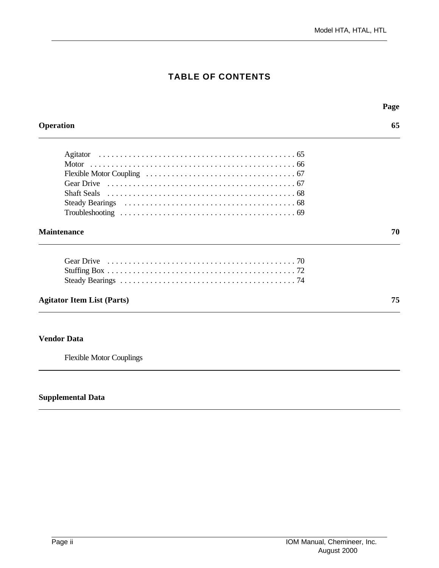# **TABLE OF CONTENTS**

| 65 |
|----|
|    |
|    |
|    |
|    |
|    |
|    |
|    |
|    |
| 70 |
|    |
|    |
|    |
| 75 |
|    |

# **Vendor Data**

 $\overline{a}$ 

Flexible Motor Couplings

### **Supplemental Data**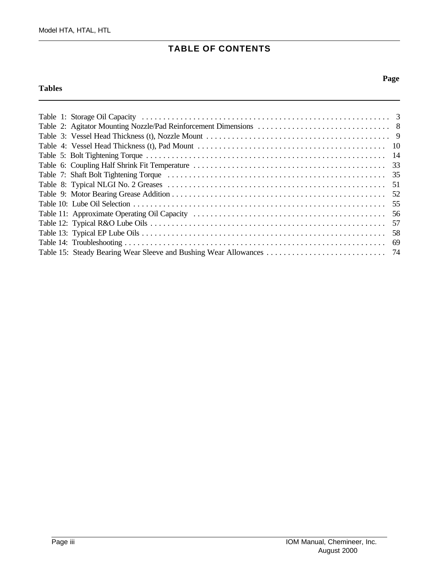# **TABLE OF CONTENTS**

# **Tables**

 $\overline{a}$ 

|  | -51 |
|--|-----|
|  |     |
|  |     |
|  |     |
|  |     |
|  |     |
|  |     |
|  |     |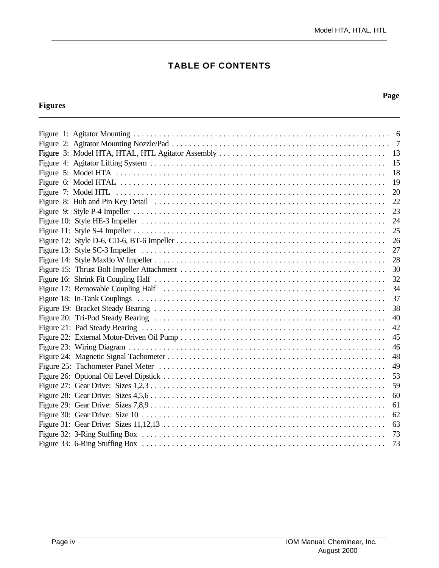# **TABLE OF CONTENTS**

# **Figures**

 $\overline{a}$ 

### **Page**

|                                                                                                                                                                                                                               | 15 |
|-------------------------------------------------------------------------------------------------------------------------------------------------------------------------------------------------------------------------------|----|
|                                                                                                                                                                                                                               | 18 |
|                                                                                                                                                                                                                               | 19 |
|                                                                                                                                                                                                                               | 20 |
|                                                                                                                                                                                                                               | 22 |
|                                                                                                                                                                                                                               | 23 |
|                                                                                                                                                                                                                               | 24 |
|                                                                                                                                                                                                                               | 25 |
|                                                                                                                                                                                                                               | 26 |
|                                                                                                                                                                                                                               | 27 |
|                                                                                                                                                                                                                               | 28 |
|                                                                                                                                                                                                                               | 30 |
|                                                                                                                                                                                                                               | 32 |
| Figure 17: Removable Coupling Half (all intervent in the set of the contract of the Coupling Half (b) and the contract of the contract of the contract of the contract of the contract of the contract of the contract of the | 34 |
|                                                                                                                                                                                                                               | 37 |
|                                                                                                                                                                                                                               | 38 |
|                                                                                                                                                                                                                               | 40 |
|                                                                                                                                                                                                                               | 42 |
|                                                                                                                                                                                                                               | 45 |
|                                                                                                                                                                                                                               | 46 |
|                                                                                                                                                                                                                               | 48 |
|                                                                                                                                                                                                                               | 49 |
|                                                                                                                                                                                                                               | 53 |
|                                                                                                                                                                                                                               | 59 |
|                                                                                                                                                                                                                               | 60 |
|                                                                                                                                                                                                                               | 61 |
|                                                                                                                                                                                                                               | 62 |
|                                                                                                                                                                                                                               | 63 |
|                                                                                                                                                                                                                               | 73 |
|                                                                                                                                                                                                                               | 73 |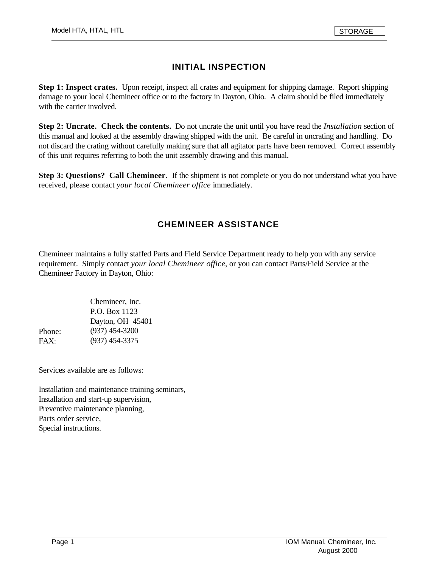# **INITIAL INSPECTION**

**Step 1: Inspect crates.** Upon receipt, inspect all crates and equipment for shipping damage. Report shipping damage to your local Chemineer office or to the factory in Dayton, Ohio. A claim should be filed immediately with the carrier involved.

**Step 2: Uncrate. Check the contents.** Do not uncrate the unit until you have read the *Installation* section of this manual and looked at the assembly drawing shipped with the unit. Be careful in uncrating and handling. Do not discard the crating without carefully making sure that all agitator parts have been removed. Correct assembly of this unit requires referring to both the unit assembly drawing and this manual.

**Step 3: Questions? Call Chemineer.** If the shipment is not complete or you do not understand what you have received, please contact *your local Chemineer office* immediately.

# **CHEMINEER ASSISTANCE**

Chemineer maintains a fully staffed Parts and Field Service Department ready to help you with any service requirement. Simply contact *your local Chemineer office*, or you can contact Parts/Field Service at the Chemineer Factory in Dayton, Ohio:

| Chemineer, Inc.  |
|------------------|
| P.O. Box 1123    |
| Dayton, OH 45401 |
| $(937)$ 454-3200 |
| $(937)$ 454-3375 |
|                  |

Services available are as follows:

Installation and maintenance training seminars, Installation and start-up supervision, Preventive maintenance planning, Parts order service, Special instructions.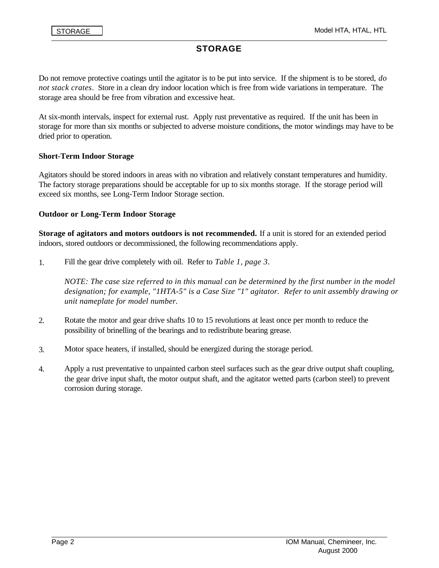# **STORAGE**

Do not remove protective coatings until the agitator is to be put into service. If the shipment is to be stored, *do not stack crates*. Store in a clean dry indoor location which is free from wide variations in temperature. The storage area should be free from vibration and excessive heat.

At six-month intervals, inspect for external rust. Apply rust preventative as required. If the unit has been in storage for more than six months or subjected to adverse moisture conditions, the motor windings may have to be dried prior to operation.

#### **Short-Term Indoor Storage**

Agitators should be stored indoors in areas with no vibration and relatively constant temperatures and humidity. The factory storage preparations should be acceptable for up to six months storage. If the storage period will exceed six months, see Long-Term Indoor Storage section.

#### **Outdoor or Long-Term Indoor Storage**

**Storage of agitators and motors outdoors is not recommended.** If a unit is stored for an extended period indoors, stored outdoors or decommissioned, the following recommendations apply.

1. Fill the gear drive completely with oil. Refer to *Table 1, page 3*.

*NOTE: The case size referred to in this manual can be determined by the first number in the model designation; for example, "1HTA-5" is a Case Size "1" agitator. Refer to unit assembly drawing or unit nameplate for model number.* 

- 2. Rotate the motor and gear drive shafts 10 to 15 revolutions at least once per month to reduce the possibility of brinelling of the bearings and to redistribute bearing grease.
- 3. Motor space heaters, if installed, should be energized during the storage period.
- 4. Apply a rust preventative to unpainted carbon steel surfaces such as the gear drive output shaft coupling, the gear drive input shaft, the motor output shaft, and the agitator wetted parts (carbon steel) to prevent corrosion during storage.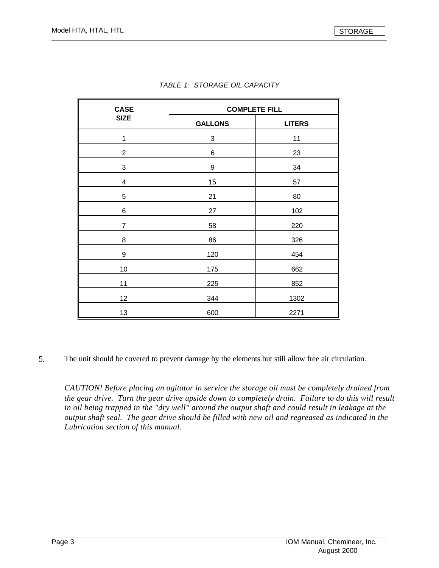| <b>CASE</b>    | <b>COMPLETE FILL</b> |               |  |  |
|----------------|----------------------|---------------|--|--|
| <b>SIZE</b>    | <b>GALLONS</b>       | <b>LITERS</b> |  |  |
| $\mathbf 1$    | 3                    | 11            |  |  |
| $\overline{2}$ | $\,6$                | 23            |  |  |
| 3              | $\boldsymbol{9}$     | 34            |  |  |
| 4              | 15                   | 57            |  |  |
| 5              | 21                   | 80            |  |  |
| 6              | 27                   | 102           |  |  |
| 7              | 58                   | 220           |  |  |
| 8              | 86                   | 326           |  |  |
| 9              | 120                  | 454           |  |  |
| 10             | 175                  | 662           |  |  |
| 11             | 225                  | 852           |  |  |
| 12             | 344                  | 1302          |  |  |
| 13             | 600                  | 2271          |  |  |

| TABLE 1: STORAGE OIL CAPACITY |  |
|-------------------------------|--|
|                               |  |

5. The unit should be covered to prevent damage by the elements but still allow free air circulation.

*CAUTION! Before placing an agitator in service the storage oil must be completely drained from the gear drive. Turn the gear drive upside down to completely drain. Failure to do this will result in oil being trapped in the "dry well" around the output shaft and could result in leakage at the output shaft seal. The gear drive should be filled with new oil and regreased as indicated in the Lubrication section of this manual.*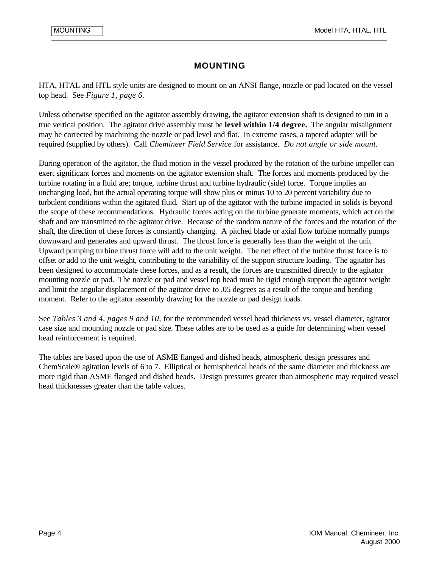### **MOUNTING**

HTA, HTAL and HTL style units are designed to mount on an ANSI flange, nozzle or pad located on the vessel top head. See *Figure 1, page 6.*

Unless otherwise specified on the agitator assembly drawing, the agitator extension shaft is designed to run in a true vertical position. The agitator drive assembly must be **level within 1/4 degree.** The angular misalignment may be corrected by machining the nozzle or pad level and flat. In extreme cases, a tapered adapter will be required (supplied by others). Call *Chemineer Field Service* for assistance. *Do not angle or side mount.*

During operation of the agitator, the fluid motion in the vessel produced by the rotation of the turbine impeller can exert significant forces and moments on the agitator extension shaft. The forces and moments produced by the turbine rotating in a fluid are; torque, turbine thrust and turbine hydraulic (side) force. Torque implies an unchanging load, but the actual operating torque will show plus or minus 10 to 20 percent variability due to turbulent conditions within the agitated fluid. Start up of the agitator with the turbine impacted in solids is beyond the scope of these recommendations. Hydraulic forces acting on the turbine generate moments, which act on the shaft and are transmitted to the agitator drive. Because of the random nature of the forces and the rotation of the shaft, the direction of these forces is constantly changing. A pitched blade or axial flow turbine normally pumps downward and generates and upward thrust. The thrust force is generally less than the weight of the unit. Upward pumping turbine thrust force will add to the unit weight. The net effect of the turbine thrust force is to offset or add to the unit weight, contributing to the variability of the support structure loading. The agitator has been designed to accommodate these forces, and as a result, the forces are transmitted directly to the agitator mounting nozzle or pad. The nozzle or pad and vessel top head must be rigid enough support the agitator weight and limit the angular displacement of the agitator drive to .05 degrees as a result of the torque and bending moment. Refer to the agitator assembly drawing for the nozzle or pad design loads.

See *Tables 3 and 4, pages 9 and 10,* for the recommended vessel head thickness vs. vessel diameter, agitator case size and mounting nozzle or pad size. These tables are to be used as a guide for determining when vessel head reinforcement is required.

The tables are based upon the use of ASME flanged and dished heads, atmospheric design pressures and ChemScale® agitation levels of 6 to 7. Elliptical or hemispherical heads of the same diameter and thickness are more rigid than ASME flanged and dished heads. Design pressures greater than atmospheric may required vessel head thicknesses greater than the table values.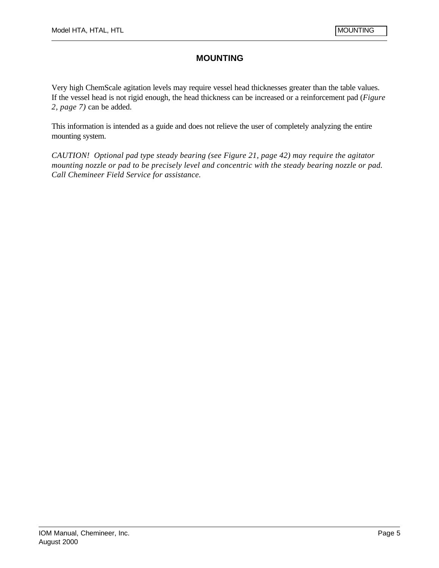# **MOUNTING**

Very high ChemScale agitation levels may require vessel head thicknesses greater than the table values. If the vessel head is not rigid enough, the head thickness can be increased or a reinforcement pad (*Figure 2, page 7)* can be added.

This information is intended as a guide and does not relieve the user of completely analyzing the entire mounting system.

*CAUTION! Optional pad type steady bearing (see Figure 21, page 42) may require the agitator mounting nozzle or pad to be precisely level and concentric with the steady bearing nozzle or pad. Call Chemineer Field Service for assistance.*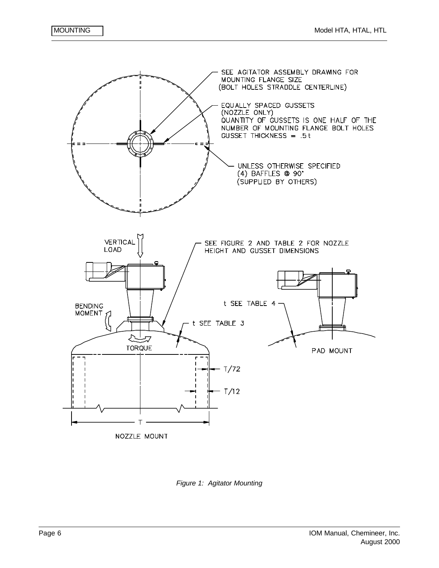

*Figure 1: Agitator Mounting*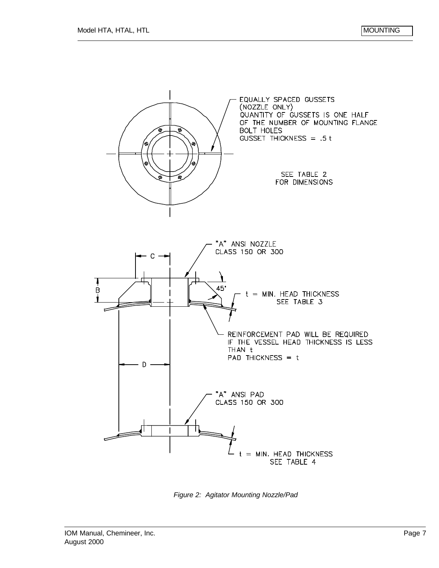

*Figure 2: Agitator Mounting Nozzle/Pad*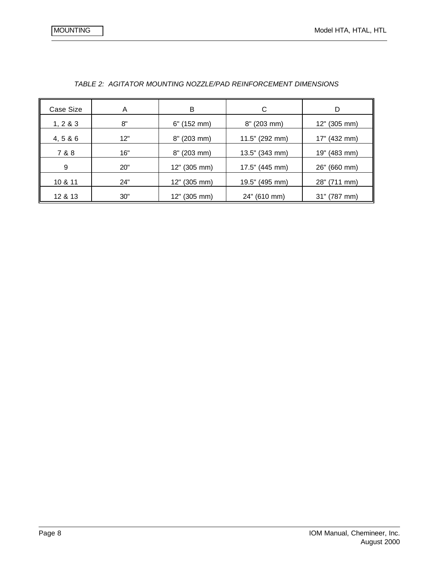| Case Size    | A   | B              | С              | D            |
|--------------|-----|----------------|----------------|--------------|
| 1, 2 & 8 & 3 | 8"  | $6"$ (152 mm)  | 8" (203 mm)    | 12" (305 mm) |
| 4, 5 & 6     | 12" | $8''$ (203 mm) | 11.5" (292 mm) | 17" (432 mm) |
| 7 & 8        | 16" | $8''$ (203 mm) | 13.5" (343 mm) | 19" (483 mm) |
| 9            | 20" | 12" (305 mm)   | 17.5" (445 mm) | 26" (660 mm) |
| 10 & 11      | 24" | 12" (305 mm)   | 19.5" (495 mm) | 28" (711 mm) |
| 12 & 13      | 30" | 12" (305 mm)   | 24" (610 mm)   | 31" (787 mm) |

#### *TABLE 2: AGITATOR MOUNTING NOZZLE/PAD REINFORCEMENT DIMENSIONS*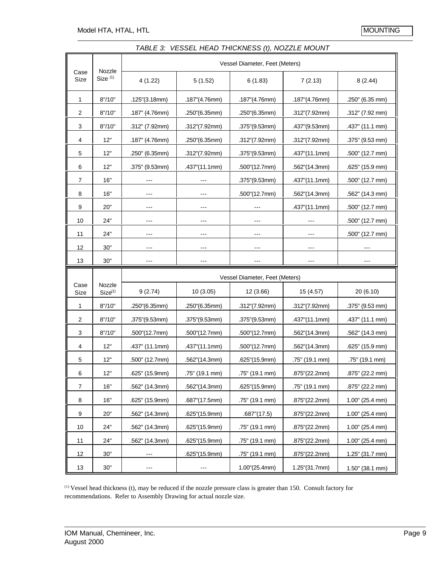|                |                               | Vessel Diameter, Feet (Meters) |                |                                |                  |                 |
|----------------|-------------------------------|--------------------------------|----------------|--------------------------------|------------------|-----------------|
| Case<br>Size   | Nozzle<br>Size <sup>(1)</sup> | 4(1.22)                        | 5(1.52)        | 6(1.83)                        | 7(2.13)          | 8(2.44)         |
| 1              | 8''/10''                      | .125"(3.18mm)                  | .187"(4.76mm)  | .187"(4.76mm)                  | .187"(4.76mm)    | .250" (6.35 mm) |
| 2              | 8''/10''                      | .187" (4.76mm)                 | .250"(6.35mm)  | .250"(6.35mm)                  | .312"(7.92mm)    | .312" (7.92 mm) |
| 3              | 8''/10''                      | .312" (7.92mm)                 | .312"(7.92mm)  | .375"(9.53mm)                  | .437"(9.53mm)    | .437" (11.1 mm) |
| 4              | 12"                           | .187" (4.76mm)                 | .250"(6.35mm)  | $.312$ "(7.92mm)               | $.312$ "(7.92mm) | .375" (9.53 mm) |
| 5              | 12"                           | .250" (6.35mm)                 | .312"(7.92mm)  | .375"(9.53mm)                  | .437"(11.1mm)    | .500" (12.7 mm) |
| 6              | 12"                           | .375" (9.53mm)                 | .437"(11.1mm)  | .500"(12.7mm)                  | .562"(14.3mm)    | .625" (15.9 mm) |
| 7              | 16"                           |                                |                | .375"(9.53mm)                  | .437"(11.1mm)    | .500" (12.7 mm) |
| 8              | 16"                           | ---                            | ---            | .500"(12.7mm)                  | .562"(14.3mm)    | .562" (14.3 mm) |
| 9              | 20"                           | ---                            |                |                                | .437"(11.1mm)    | .500" (12.7 mm) |
| 10             | 24"                           | ---                            | ---            |                                |                  | .500" (12.7 mm) |
| 11             | 24"                           | ---                            | ---            | ---                            |                  | .500" (12.7 mm) |
| 12             | $30"$                         | ---                            | ---            | $---$                          | $---$            |                 |
|                |                               |                                |                |                                |                  |                 |
| 13             | 30"                           | ---                            | ---            | ---                            |                  | ---             |
|                |                               |                                |                | Vessel Diameter, Feet (Meters) |                  |                 |
| Case<br>Size   | Nozzle<br>Size <sup>(1)</sup> | 9(2.74)                        | 10 (3.05)      | 12 (3.66)                      | 15 (4.57)        | 20 (6.10)       |
| 1              | 8''/10''                      | .250"(6.35mm)                  | .250"(6.35mm)  | .312"(7.92mm)                  | .312"(7.92mm)    | .375" (9.53 mm) |
| 2              | 8''/10''                      | .375"(9.53mm)                  | .375"(9.53mm)  | .375"(9.53mm)                  | .437"(11.1mm)    | .437" (11.1 mm) |
| 3              | 8''/10''                      | .500"(12.7mm)                  | .500"(12.7mm)  | .500"(12.7mm)                  | .562"(14.3mm)    | .562" (14.3 mm) |
| 4              | 12"                           | .437" (11.1mm)                 | .437"(11.1mm)  | .500"(12.7mm)                  | .562"(14.3mm)    | .625" (15.9 mm) |
| 5              | 12"                           | .500" (12.7mm)                 | .562"(14.3mm)  | .625"(15.9mm)                  | .75" (19.1 mm)   | .75" (19.1 mm)  |
| 6              | 12"                           | .625" (15.9mm)                 | .75" (19.1 mm) | .75" (19.1 mm)                 | .875"(22.2mm)    | .875" (22.2 mm) |
| $\overline{7}$ | 16"                           | .562" (14.3mm)                 | .562"(14.3mm)  | .625"(15.9mm)                  | .75" (19.1 mm)   | .875" (22.2 mm) |
| 8              | 16"                           | .625" (15.9mm)                 | .687"(17.5mm)  | .75" (19.1 mm)                 | .875"(22.2mm)    | 1.00" (25.4 mm) |
| 9              | 20"                           | .562" (14.3mm)                 | .625"(15.9mm)  | .687''(17.5)                   | .875"(22.2mm)    | 1.00" (25.4 mm) |
| 10             | 24"                           | .562" (14.3mm)                 | .625"(15.9mm)  | .75" (19.1 mm)                 | .875"(22.2mm)    | 1.00" (25.4 mm) |
| 11             | 24"                           | .562" (14.3mm)                 | .625"(15.9mm)  | .75" (19.1 mm)                 | .875"(22.2mm)    | 1.00" (25.4 mm) |

#### *TABLE 3: VESSEL HEAD THICKNESS (t), NOZZLE MOUNT*

(1) Vessel head thickness (t), may be reduced if the nozzle pressure class is greater than 150. Consult factory for recommendations. Refer to Assembly Drawing for actual nozzle size.

 $13 \begin{array}{|l|c|c|c|c|c|c|c|} \hline \end{array}$  30" ---  $\begin{array}{|l|c|c|c|c|c|c|c|} \hline \end{array}$  1.00"(25.4mm)  $\begin{array}{|l|c|c|c|c|c|} \hline \end{array}$  1.25"(31.7mm)  $\begin{array}{|l|c|c|c|c|c|} \hline \end{array}$  1.50" (38.1 mm)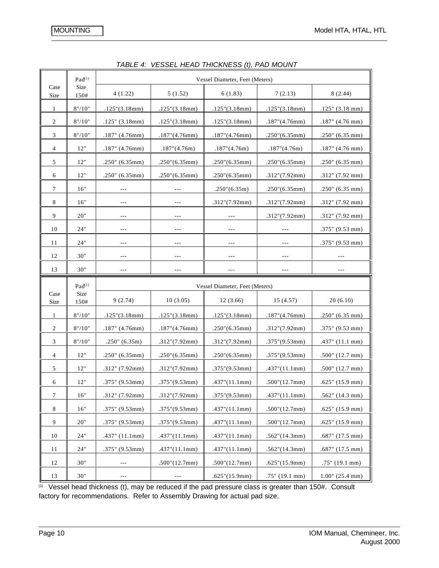|                  | Pad <sup>(1)</sup> | Vessel Diameter, Feet (Meters) |                     |                                |                         |                    |
|------------------|--------------------|--------------------------------|---------------------|--------------------------------|-------------------------|--------------------|
| Case<br>Size     | Size<br>150#       | 4(1.22)                        | 5(1.52)             | 6(1.83)                        | 7(2.13)                 | 8(2.44)            |
| $\mathbf{1}$     | 8" / 10"           | .125''(3.18mm)                 | .125''(3.18mm)      | .125''(3.18mm)                 | .125''(3.18mm)          | $.125$ " (3.18 mm) |
| 2                | 8" / 10"           | $.125$ " (3.18mm)              | .125''(3.18mm)      | .125''(3.18mm)                 | .187''(4.76mm)          | $.187$ " (4.76 mm) |
| 3                | $8\%/10"$          | $.187$ " (4.76mm)              | .187''(4.76mm)      | .187''(4.76mm)                 | .250''(6.35mm)          | $.250$ " (6.35 mm) |
| 4                | 12"                | .187" (4.76mm)                 | .187''(4.76m)       | .187''(4.76m)                  | .187''(4.76m)           | $.187$ " (4.76 mm) |
| $\sqrt{5}$       | 12"                | .250" (6.35mm)                 | .250''(6.35mm)      | .250''(6.35mm)                 | .250''(6.35mm)          | $.250$ " (6.35 mm) |
| 6                | 12"                | .250" (6.35mm)                 | .250''(6.35mm)      | .250''(6.35mm)                 | .312''(7.92mm)          | $.312$ " (7.92 mm) |
| $\boldsymbol{7}$ | 16"                | $---$                          | $- - -$             | .250''(6.35m)                  | $.250^{\circ}$ (6.35mm) | $.250$ " (6.35 mm) |
| 8                | 16"                | $---$                          | ---                 | .312''(7.92mm)                 | .312''(7.92mm)          | $.312$ " (7.92 mm) |
| $\overline{9}$   | 20"                | $---$                          | $---$               |                                | .312''(7.92mm)          | .312" (7.92 mm)    |
| 10               | 24"                | $---$                          | ---                 | ---                            |                         | $.375$ " (9.53 mm) |
| 11               | 24"                | $--$                           | $---$               | $---$                          | ---                     | $.375$ " (9.53 mm) |
| 12               | 30"                | $---$                          |                     |                                |                         |                    |
| 13               | 30"                |                                |                     |                                |                         |                    |
|                  |                    |                                |                     |                                |                         |                    |
|                  | Pad <sup>(1)</sup> |                                |                     | Vessel Diameter, Feet (Meters) |                         |                    |
| Case<br>Size     | Size<br>150#       | 9(2.74)                        | 10(3.05)            | 12(3.66)                       | 15 (4.57)               | 20(6.10)           |
| $\mathbf{1}$     | 8" / 10"           | .125''(3.18mm)                 | .125''(3.18mm)      | .125''(3.18mm)                 | .187''(4.76mm)          | $.250$ " (6.35 mm) |
| 2                | 8" / 10"           | $.187$ " (4.76mm)              | .187''(4.76mm)      | .250''(6.35mm)                 | .312''(7.92mm)          | $.375$ " (9.53 mm) |
| 3                | $8\%/10"$          | $.250$ " (6.35m)               | .312''(7.92mm)      | .312''(7.92mm)                 | $.375$ " $(9.53mm)$     | $.437$ " (11.1 mm) |
| 4                | 12"                | .250" (6.35mm)                 | .250''(6.35mm)      | .250''(6.35mm)                 | $.375$ "(9.53mm)        | $.500$ " (12.7 mm) |
| $\sqrt{5}$       | 12"                | .312" (7.92mm)                 | .312''(7.92mm)      | $.375$ " $(9.53mm)$            | .437''(11.1mm)          | $.500$ " (12.7 mm) |
| 6                | 12"                | .375" (9.53mm)                 | $.375$ " $(9.53mm)$ | .437''(11.1mm)                 | .500''(12.7mm)          | $.625$ " (15.9 mm) |
| $\tau$           | $16"$              | .312" (7.92mm)                 | .312''(7.92mm)      | $.375$ " $(9.53mm)$            | .437''(11.1mm)          | .562" (14.3 mm)    |
| $\,8\,$          | 16"                | .375" (9.53mm)                 | .375''(9.53mm)      | .437''(11.1mm)                 | .500''(12.7mm)          | $.625$ " (15.9 mm) |
| 9                | 20"                | .375" (9.53mm)                 | .375''(9.53mm)      | .437''(11.1mm)                 | .500''(12.7mm)          | $.625$ " (15.9 mm) |
| 10               | 24"                | $.437$ " (11.1mm)              | .437''(11.1mm)      | .437''(11.1mm)                 | .562''(14.3mm)          | $.687$ " (17.5 mm) |
| 11               | 24"                | .375" (9.53mm)                 | .437''(11.1mm)      | .437''(11.1mm)                 | .562''(14.3mm)          | $.687$ " (17.5 mm) |
| 12               | 30"                | $---$                          | .500''(12.7mm)      | .500''(12.7mm)                 | .625''(15.9mm)          | .75" (19.1 mm)     |

|  | TABLE 4: VESSEL HEAD THICKNESS (t), PAD MOUNT |  |
|--|-----------------------------------------------|--|
|  |                                               |  |

(1) Vessel head thickness (t), may be reduced if the pad pressure class is greater than 150#. Consult factory for recommendations. Refer to Assembly Drawing for actual pad size.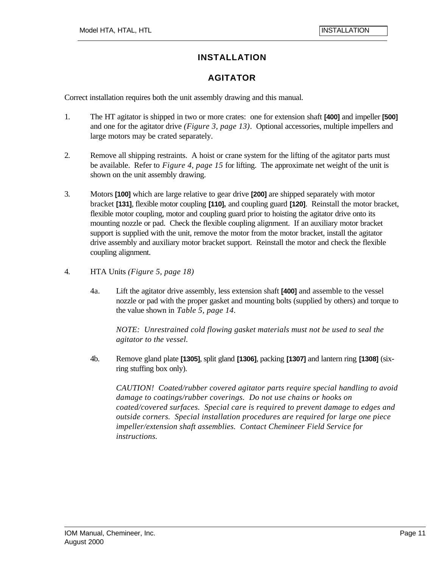# **INSTALLATION**

# **AGITATOR**

Correct installation requires both the unit assembly drawing and this manual.

- 1. The HT agitator is shipped in two or more crates: one for extension shaft **[400]** and impeller **[500]** and one for the agitator drive *(Figure 3, page 13)*. Optional accessories, multiple impellers and large motors may be crated separately.
- 2. Remove all shipping restraints. A hoist or crane system for the lifting of the agitator parts must be available. Refer to *Figure 4, page 15* for lifting. The approximate net weight of the unit is shown on the unit assembly drawing.
- 3. Motors **[100]** which are large relative to gear drive **[200]** are shipped separately with motor bracket **[131]**, flexible motor coupling **[110],** and coupling guard **[120]**. Reinstall the motor bracket, flexible motor coupling, motor and coupling guard prior to hoisting the agitator drive onto its mounting nozzle or pad. Check the flexible coupling alignment. If an auxiliary motor bracket support is supplied with the unit, remove the motor from the motor bracket, install the agitator drive assembly and auxiliary motor bracket support. Reinstall the motor and check the flexible coupling alignment.
- 4. HTA Units *(Figure 5, page 18)*
	- 4a. Lift the agitator drive assembly, less extension shaft **[400]** and assemble to the vessel nozzle or pad with the proper gasket and mounting bolts (supplied by others) and torque to the value shown in *Table 5, page 14.*

*NOTE: Unrestrained cold flowing gasket materials must not be used to seal the agitator to the vessel.*

4b. Remove gland plate **[1305]**, split gland **[1306]**, packing **[1307]** and lantern ring **[1308]** (sixring stuffing box only).

*CAUTION! Coated/rubber covered agitator parts require special handling to avoid damage to coatings/rubber coverings. Do not use chains or hooks on coated/covered surfaces. Special care is required to prevent damage to edges and outside corners. Special installation procedures are required for large one piece impeller/extension shaft assemblies. Contact Chemineer Field Service for instructions.*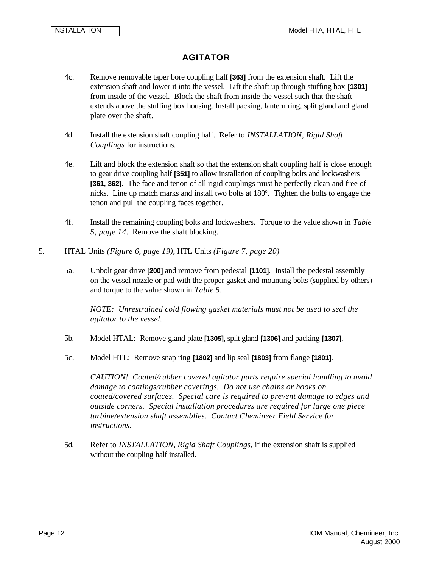# **AGITATOR**

- 4c. Remove removable taper bore coupling half **[363]** from the extension shaft. Lift the extension shaft and lower it into the vessel. Lift the shaft up through stuffing box **[1301]** from inside of the vessel. Block the shaft from inside the vessel such that the shaft extends above the stuffing box housing. Install packing, lantern ring, split gland and gland plate over the shaft.
- 4d. Install the extension shaft coupling half. Refer to *INSTALLATION, Rigid Shaft Couplings* for instructions.
- 4e. Lift and block the extension shaft so that the extension shaft coupling half is close enough to gear drive coupling half **[351]** to allow installation of coupling bolts and lockwashers **[361, 362]**. The face and tenon of all rigid couplings must be perfectly clean and free of nicks. Line up match marks and install two bolts at 180°. Tighten the bolts to engage the tenon and pull the coupling faces together.
- 4f. Install the remaining coupling bolts and lockwashers. Torque to the value shown in *Table 5, page 14*. Remove the shaft blocking.
- 5. HTAL Units *(Figure 6, page 19)*, HTL Units *(Figure 7, page 20)*
	- 5a. Unbolt gear drive **[200]** and remove from pedestal **[1101]**. Install the pedestal assembly on the vessel nozzle or pad with the proper gasket and mounting bolts (supplied by others) and torque to the value shown in *Table 5*.

*NOTE: Unrestrained cold flowing gasket materials must not be used to seal the agitator to the vessel.*

- 5b. Model HTAL: Remove gland plate **[1305]**, split gland **[1306]** and packing **[1307]**.
- 5c. Model HTL: Remove snap ring **[1802]** and lip seal **[1803]** from flange **[1801]**.

*CAUTION! Coated/rubber covered agitator parts require special handling to avoid damage to coatings/rubber coverings. Do not use chains or hooks on coated/covered surfaces. Special care is required to prevent damage to edges and outside corners. Special installation procedures are required for large one piece turbine/extension shaft assemblies. Contact Chemineer Field Service for instructions.*

5d. Refer to *INSTALLATION, Rigid Shaft Couplings,* if the extension shaft is supplied without the coupling half installed.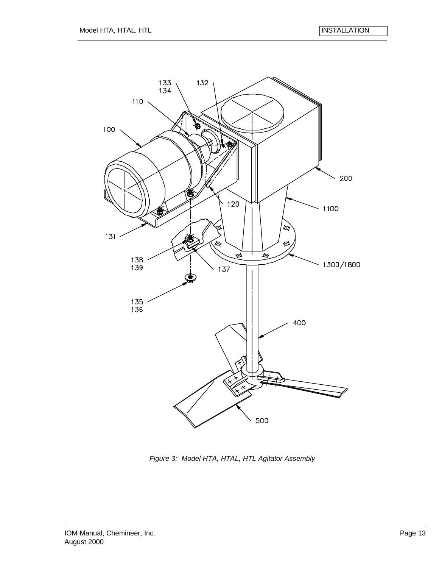

*Figure 3: Model HTA, HTAL, HTL Agitator Assembly*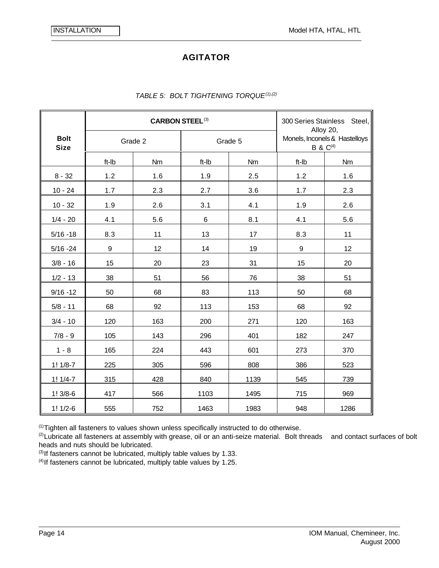### **AGITATOR**

|                            | <b>CARBON STEEL(3)</b> |     |         |      | 300 Series Stainless<br>Steel,<br>Alloy 20,    |           |
|----------------------------|------------------------|-----|---------|------|------------------------------------------------|-----------|
| <b>Bolt</b><br><b>Size</b> | Grade 2                |     | Grade 5 |      | Monels, Inconels & Hastelloys<br>B & $C^{(4)}$ |           |
|                            | ft-Ib                  | Nm  | ft-Ib   | Nm   | ft-Ib                                          | <b>Nm</b> |
| $8 - 32$                   | 1.2                    | 1.6 | 1.9     | 2.5  | 1.2                                            | 1.6       |
| $10 - 24$                  | 1.7                    | 2.3 | 2.7     | 3.6  | 1.7                                            | 2.3       |
| $10 - 32$                  | 1.9                    | 2.6 | 3.1     | 4.1  | 1.9                                            | 2.6       |
| $1/4 - 20$                 | 4.1                    | 5.6 | 6       | 8.1  | 4.1                                            | 5.6       |
| $5/16 - 18$                | 8.3                    | 11  | 13      | 17   | 8.3                                            | 11        |
| $5/16 - 24$                | $\boldsymbol{9}$       | 12  | 14      | 19   | $\boldsymbol{9}$                               | 12        |
| $3/8 - 16$                 | 15                     | 20  | 23      | 31   | 15                                             | 20        |
| $1/2 - 13$                 | 38                     | 51  | 56      | 76   | 38                                             | 51        |
| $9/16 - 12$                | 50                     | 68  | 83      | 113  | 50                                             | 68        |
| $5/8 - 11$                 | 68                     | 92  | 113     | 153  | 68                                             | 92        |
| $3/4 - 10$                 | 120                    | 163 | 200     | 271  | 120                                            | 163       |
| $7/8 - 9$                  | 105                    | 143 | 296     | 401  | 182                                            | 247       |
| $1 - 8$                    | 165                    | 224 | 443     | 601  | 273                                            | 370       |
| $1! 1/8-7$                 | 225                    | 305 | 596     | 808  | 386                                            | 523       |
| $1! 1/4-7$                 | 315                    | 428 | 840     | 1139 | 545                                            | 739       |
| $1!3/8-6$                  | 417                    | 566 | 1103    | 1495 | 715                                            | 969       |
| $1! 1/2-6$                 | 555                    | 752 | 1463    | 1983 | 948                                            | 1286      |

#### *TABLE 5: BOLT TIGHTENING TORQUE(1),(2)*

(1)Tighten all fasteners to values shown unless specifically instructed to do otherwise.

<sup>(2)</sup>Lubricate all fasteners at assembly with grease, oil or an anti-seize material. Bolt threads and contact surfaces of bolt heads and nuts should be lubricated.

 $^{(3)}$ If fasteners cannot be lubricated, multiply table values by 1.33.

 $(4)$ If fasteners cannot be lubricated, multiply table values by 1.25.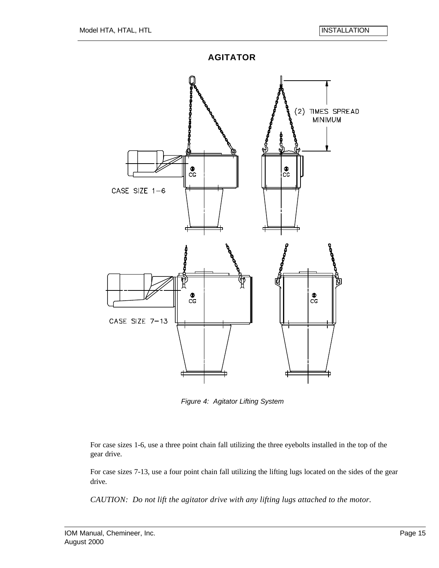

*Figure 4: Agitator Lifting System*

For case sizes 1-6, use a three point chain fall utilizing the three eyebolts installed in the top of the gear drive.

For case sizes 7-13, use a four point chain fall utilizing the lifting lugs located on the sides of the gear drive.

*CAUTION: Do not lift the agitator drive with any lifting lugs attached to the motor.*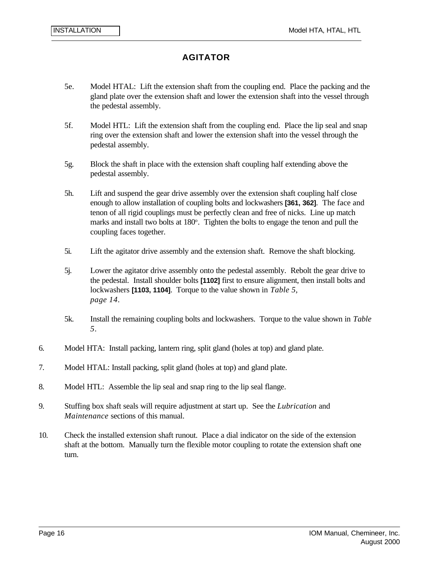# **AGITATOR**

- 5e. Model HTAL: Lift the extension shaft from the coupling end. Place the packing and the gland plate over the extension shaft and lower the extension shaft into the vessel through the pedestal assembly.
- 5f. Model HTL: Lift the extension shaft from the coupling end. Place the lip seal and snap ring over the extension shaft and lower the extension shaft into the vessel through the pedestal assembly.
- 5g. Block the shaft in place with the extension shaft coupling half extending above the pedestal assembly.
- 5h. Lift and suspend the gear drive assembly over the extension shaft coupling half close enough to allow installation of coupling bolts and lockwashers **[361, 362]**. The face and tenon of all rigid couplings must be perfectly clean and free of nicks. Line up match marks and install two bolts at 180°. Tighten the bolts to engage the tenon and pull the coupling faces together.
- 5i. Lift the agitator drive assembly and the extension shaft. Remove the shaft blocking.
- 5j. Lower the agitator drive assembly onto the pedestal assembly. Rebolt the gear drive to the pedestal. Install shoulder bolts **[1102]** first to ensure alignment, then install bolts and lockwashers **[1103, 1104]**. Torque to the value shown in *Table 5, page 14*.
- 5k. Install the remaining coupling bolts and lockwashers. Torque to the value shown in *Table 5*.
- 6. Model HTA: Install packing, lantern ring, split gland (holes at top) and gland plate.
- 7. Model HTAL: Install packing, split gland (holes at top) and gland plate.
- 8. Model HTL: Assemble the lip seal and snap ring to the lip seal flange.
- 9. Stuffing box shaft seals will require adjustment at start up. See the *Lubrication* and *Maintenance* sections of this manual.
- 10. Check the installed extension shaft runout. Place a dial indicator on the side of the extension shaft at the bottom. Manually turn the flexible motor coupling to rotate the extension shaft one turn.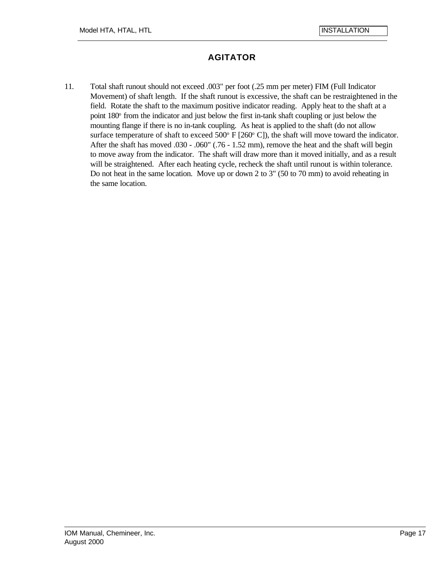# **AGITATOR**

11. Total shaft runout should not exceed .003" per foot (.25 mm per meter) FIM (Full Indicator Movement) of shaft length. If the shaft runout is excessive, the shaft can be restraightened in the field. Rotate the shaft to the maximum positive indicator reading. Apply heat to the shaft at a point 180° from the indicator and just below the first in-tank shaft coupling or just below the mounting flange if there is no in-tank coupling. As heat is applied to the shaft (do not allow surface temperature of shaft to exceed  $500^{\circ}$  F [260 $^{\circ}$  C]), the shaft will move toward the indicator. After the shaft has moved .030 - .060" (.76 - 1.52 mm), remove the heat and the shaft will begin to move away from the indicator. The shaft will draw more than it moved initially, and as a result will be straightened. After each heating cycle, recheck the shaft until runout is within tolerance. Do not heat in the same location. Move up or down 2 to 3" (50 to 70 mm) to avoid reheating in the same location.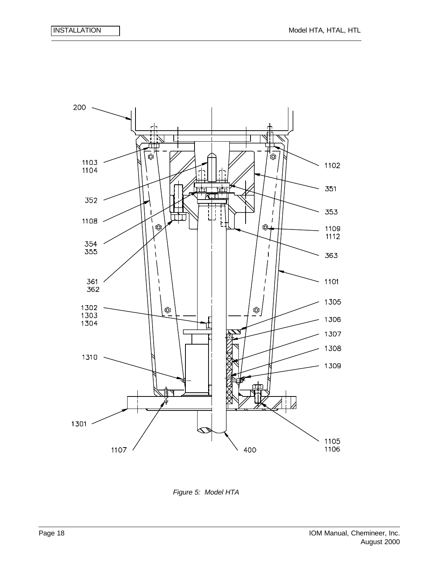

*Figure 5: Model HTA*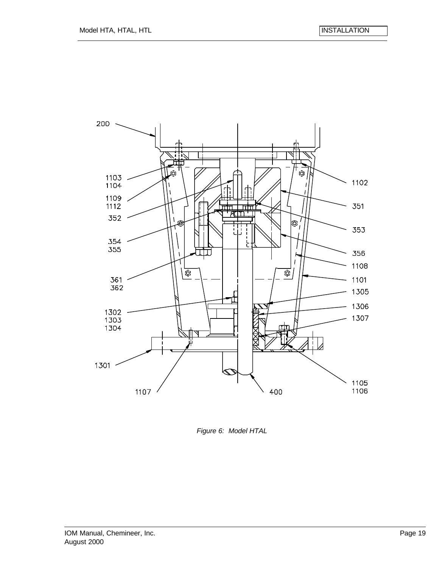

*Figure 6: Model HTAL*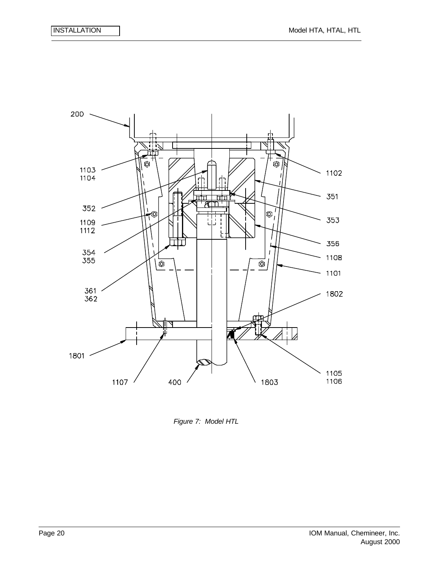

*Figure 7: Model HTL*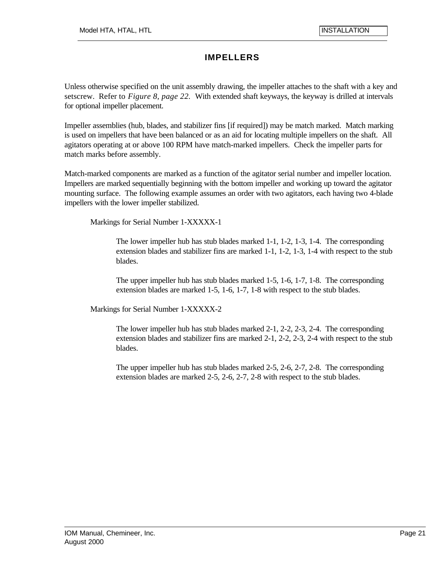# **IMPELLERS**

Unless otherwise specified on the unit assembly drawing, the impeller attaches to the shaft with a key and setscrew. Refer to *Figure 8, page 22.* With extended shaft keyways, the keyway is drilled at intervals for optional impeller placement.

Impeller assemblies (hub, blades, and stabilizer fins [if required]) may be match marked. Match marking is used on impellers that have been balanced or as an aid for locating multiple impellers on the shaft. All agitators operating at or above 100 RPM have match-marked impellers. Check the impeller parts for match marks before assembly.

Match-marked components are marked as a function of the agitator serial number and impeller location. Impellers are marked sequentially beginning with the bottom impeller and working up toward the agitator mounting surface. The following example assumes an order with two agitators, each having two 4-blade impellers with the lower impeller stabilized.

Markings for Serial Number 1-XXXXX-1

The lower impeller hub has stub blades marked 1-1, 1-2, 1-3, 1-4. The corresponding extension blades and stabilizer fins are marked 1-1, 1-2, 1-3, 1-4 with respect to the stub blades.

The upper impeller hub has stub blades marked 1-5, 1-6, 1-7, 1-8. The corresponding extension blades are marked 1-5, 1-6, 1-7, 1-8 with respect to the stub blades.

Markings for Serial Number 1-XXXXX-2

The lower impeller hub has stub blades marked 2-1, 2-2, 2-3, 2-4. The corresponding extension blades and stabilizer fins are marked 2-1, 2-2, 2-3, 2-4 with respect to the stub blades.

The upper impeller hub has stub blades marked 2-5, 2-6, 2-7, 2-8. The corresponding extension blades are marked 2-5, 2-6, 2-7, 2-8 with respect to the stub blades.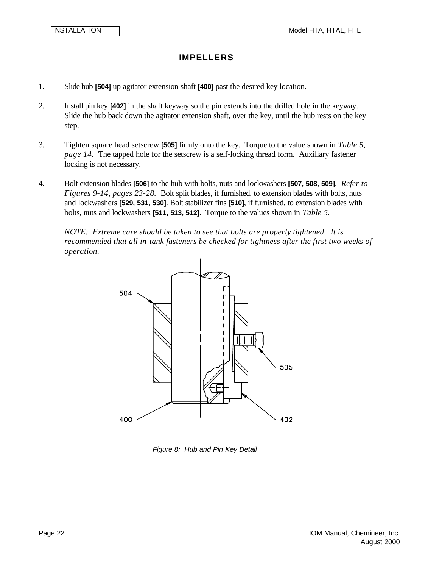# **IMPELLERS**

- 1. Slide hub **[504]** up agitator extension shaft **[400]** past the desired key location.
- 2. Install pin key **[402]** in the shaft keyway so the pin extends into the drilled hole in the keyway. Slide the hub back down the agitator extension shaft, over the key, until the hub rests on the key step.
- 3. Tighten square head setscrew **[505]** firmly onto the key. Torque to the value shown in *Table 5, page 14.* The tapped hole for the setscrew is a self-locking thread form. Auxiliary fastener locking is not necessary.
- 4. Bolt extension blades **[506]** to the hub with bolts, nuts and lockwashers **[507, 508, 509]**. *Refer to Figures 9-14, pages 23-28.* Bolt split blades, if furnished, to extension blades with bolts, nuts and lockwashers **[529, 531, 530]**. Bolt stabilizer fins **[510]**, if furnished, to extension blades with bolts, nuts and lockwashers **[511, 513, 512]**. Torque to the values shown in *Table 5.*

*NOTE: Extreme care should be taken to see that bolts are properly tightened. It is recommended that all in-tank fasteners be checked for tightness after the first two weeks of operation.*



*Figure 8: Hub and Pin Key Detail*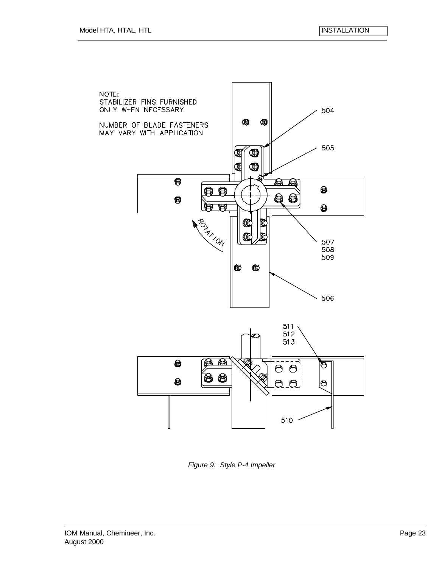

*Figure 9: Style P-4 Impeller*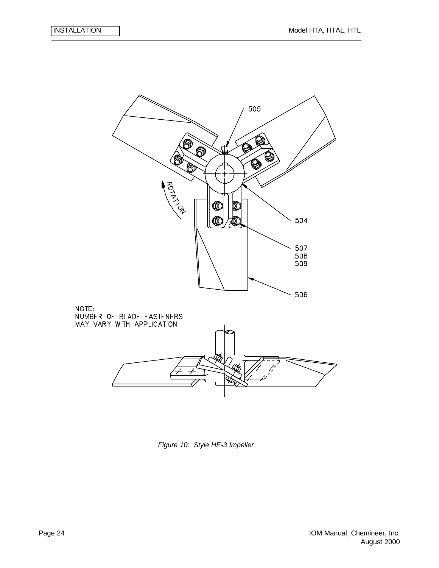

*Figure 10: Style HE-3 Impeller*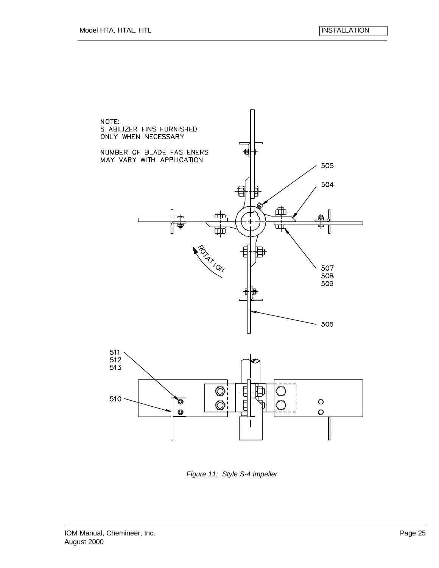

*Figure 11: Style S-4 Impeller*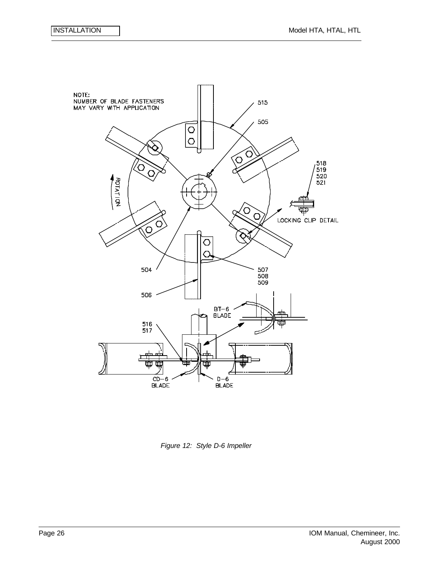

*Figure 12: Style D-6 Impeller*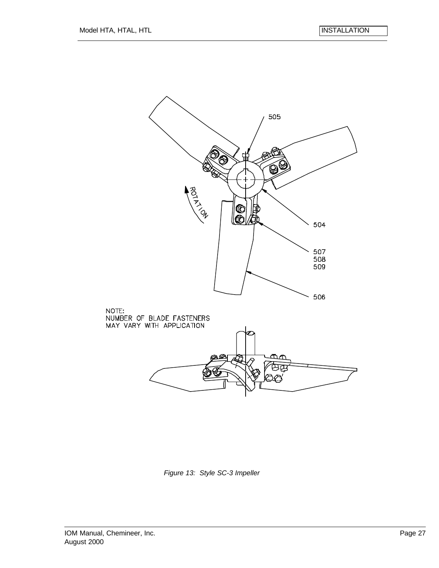

*Figure 13: Style SC-3 Impeller*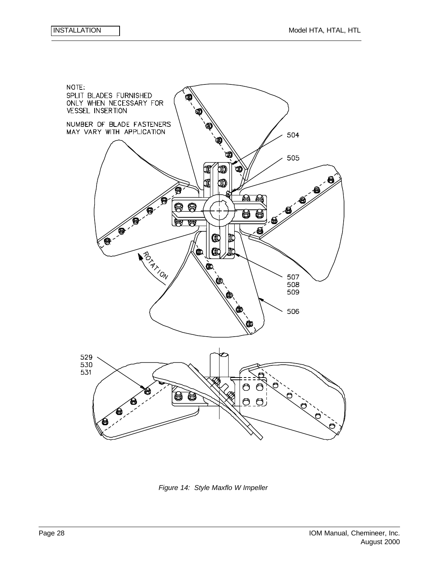

*Figure 14: Style Maxflo W Impeller*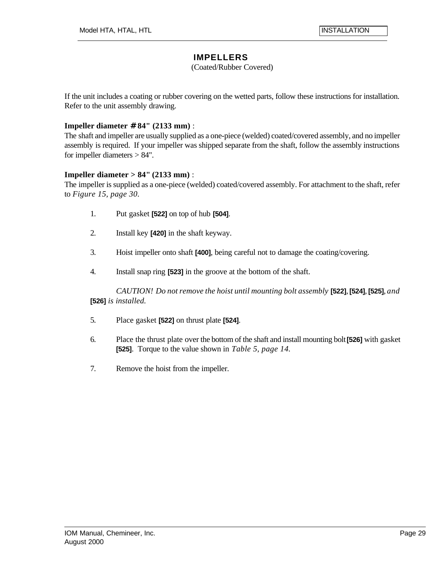# **IMPELLERS**

#### (Coated/Rubber Covered)

If the unit includes a coating or rubber covering on the wetted parts, follow these instructions for installation. Refer to the unit assembly drawing.

#### **Impeller diameter # 84" (2133 mm)** :

The shaft and impeller are usually supplied as a one-piece (welded) coated/covered assembly, and no impeller assembly is required. If your impeller was shipped separate from the shaft, follow the assembly instructions for impeller diameters > 84".

#### **Impeller diameter > 84" (2133 mm)** :

The impeller is supplied as a one-piece (welded) coated/covered assembly. For attachment to the shaft, refer to *Figure 15, page 30.*

- 1. Put gasket **[522]** on top of hub **[504]**.
- 2. Install key **[420]** in the shaft keyway.
- 3. Hoist impeller onto shaft **[400]**, being careful not to damage the coating/covering.
- 4. Install snap ring **[523]** in the groove at the bottom of the shaft.

*CAUTION! Do not remove the hoist until mounting bolt assembly* **[522]**, **[524]**, **[525]**, *and* **[526]** *is installed.*

- 5. Place gasket **[522]** on thrust plate **[524]**.
- 6. Place the thrust plate over the bottom of the shaft and install mounting bolt **[526]** with gasket **[525]**. Torque to the value shown in *Table 5, page 14.*
- 7. Remove the hoist from the impeller.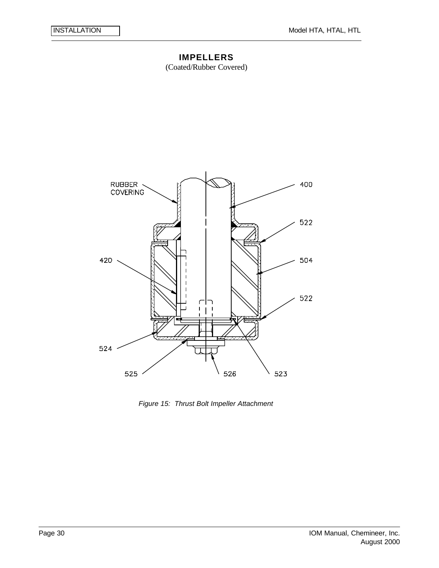# **IMPELLERS**

(Coated/Rubber Covered)



*Figure 15: Thrust Bolt Impeller Attachment*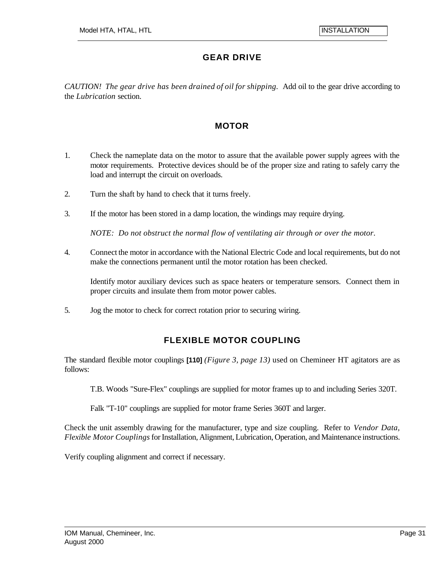### **GEAR DRIVE**

*CAUTION! The gear drive has been drained of oil for shipping.* Add oil to the gear drive according to the *Lubrication* section.

### **MOTOR**

- 1. Check the nameplate data on the motor to assure that the available power supply agrees with the motor requirements. Protective devices should be of the proper size and rating to safely carry the load and interrupt the circuit on overloads.
- 2. Turn the shaft by hand to check that it turns freely.
- 3. If the motor has been stored in a damp location, the windings may require drying.

*NOTE: Do not obstruct the normal flow of ventilating air through or over the motor.*

4. Connect the motor in accordance with the National Electric Code and local requirements, but do not make the connections permanent until the motor rotation has been checked.

Identify motor auxiliary devices such as space heaters or temperature sensors. Connect them in proper circuits and insulate them from motor power cables.

5. Jog the motor to check for correct rotation prior to securing wiring.

### **FLEXIBLE MOTOR COUPLING**

The standard flexible motor couplings **[110]** *(Figure 3, page 13)* used on Chemineer HT agitators are as follows:

T.B. Woods "Sure-Flex" couplings are supplied for motor frames up to and including Series 320T.

Falk "T-10" couplings are supplied for motor frame Series 360T and larger.

Check the unit assembly drawing for the manufacturer, type and size coupling. Refer to *Vendor Data, Flexible Motor Couplings* for Installation, Alignment, Lubrication, Operation, and Maintenance instructions.

Verify coupling alignment and correct if necessary.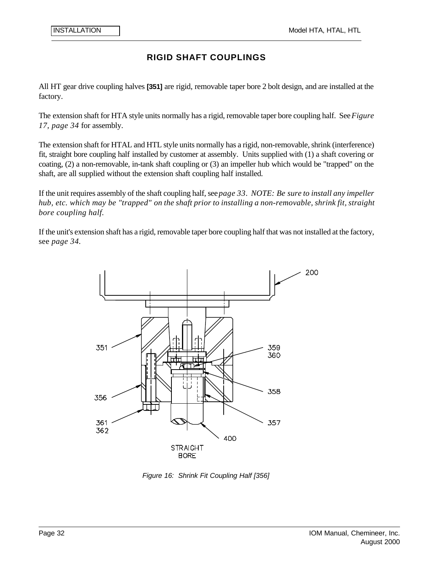## **RIGID SHAFT COUPLINGS**

All HT gear drive coupling halves **[351]** are rigid, removable taper bore 2 bolt design, and are installed at the factory.

The extension shaft for HTA style units normally has a rigid, removable taper bore coupling half. See *Figure 17, page 34* for assembly.

The extension shaft for HTAL and HTL style units normally has a rigid, non-removable, shrink (interference) fit, straight bore coupling half installed by customer at assembly. Units supplied with (1) a shaft covering or coating, (2) a non-removable, in-tank shaft coupling or (3) an impeller hub which would be "trapped" on the shaft, are all supplied without the extension shaft coupling half installed.

If the unit requires assembly of the shaft coupling half, see *page 33*. *NOTE: Be sure to install any impeller hub, etc. which may be "trapped" on the shaft prior to installing a non-removable, shrink fit, straight bore coupling half.*

If the unit's extension shaft has a rigid, removable taper bore coupling half that was not installed at the factory, see *page 34.*



*Figure 16: Shrink Fit Coupling Half [356]*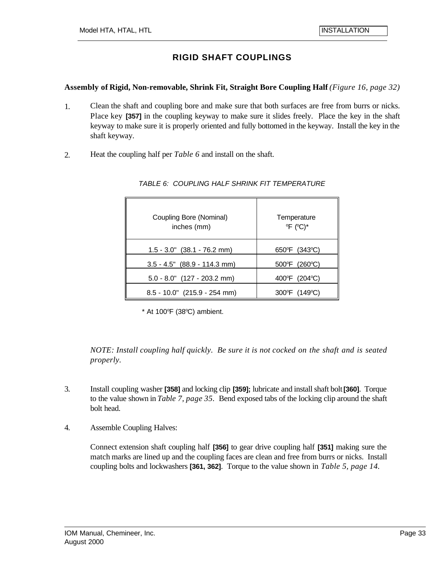# **RIGID SHAFT COUPLINGS**

**Assembly of Rigid, Non-removable, Shrink Fit, Straight Bore Coupling Half** *(Figure 16, page 32)*

- 1. Clean the shaft and coupling bore and make sure that both surfaces are free from burrs or nicks. Place key **[357]** in the coupling keyway to make sure it slides freely. Place the key in the shaft keyway to make sure it is properly oriented and fully bottomed in the keyway. Install the key in the shaft keyway.
- 2. Heat the coupling half per *Table 6* and install on the shaft.

| Coupling Bore (Nominal)<br>inches (mm) | Temperature<br>$^{\circ}$ F ( $^{\circ}$ C)* |
|----------------------------------------|----------------------------------------------|
| $1.5 - 3.0$ " (38.1 - 76.2 mm)         | 650°F (343°C)                                |
| $3.5 - 4.5$ " (88.9 - 114.3 mm)        | $500^{\circ}$ F (260 $^{\circ}$ C)           |
| $5.0 - 8.0$ " (127 - 203.2 mm)         | 400°F (204°C)                                |
| $8.5 - 10.0$ " (215.9 - 254 mm)        | 300°F (149°C)                                |

#### *TABLE 6: COUPLING HALF SHRINK FIT TEMPERATURE*

 $*$  At 100°F (38°C) ambient.

*NOTE: Install coupling half quickly. Be sure it is not cocked on the shaft and is seated properly.*

- 3. Install coupling washer **[358]** and locking clip **[359];** lubricate and install shaft bolt **[360]**. Torque to the value shown in *Table 7, page 35.* Bend exposed tabs of the locking clip around the shaft bolt head.
- 4. Assemble Coupling Halves:

Connect extension shaft coupling half **[356]** to gear drive coupling half **[351]** making sure the match marks are lined up and the coupling faces are clean and free from burrs or nicks. Install coupling bolts and lockwashers **[361, 362]**. Torque to the value shown in *Table 5, page 14.*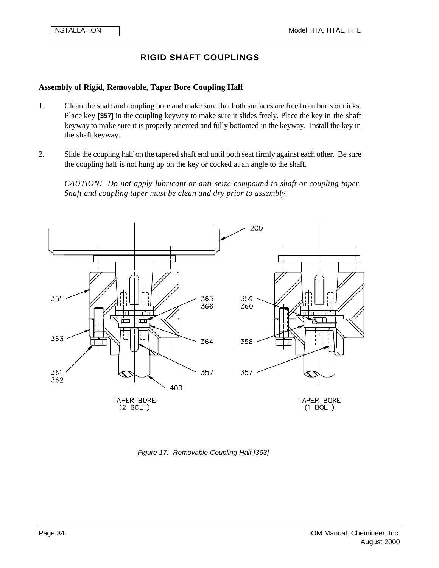## **RIGID SHAFT COUPLINGS**

#### **Assembly of Rigid, Removable, Taper Bore Coupling Half**

- 1. Clean the shaft and coupling bore and make sure that both surfaces are free from burrs or nicks. Place key **[357]** in the coupling keyway to make sure it slides freely. Place the key in the shaft keyway to make sure it is properly oriented and fully bottomed in the keyway. Install the key in the shaft keyway.
- 2. Slide the coupling half on the tapered shaft end until both seat firmly against each other. Be sure the coupling half is not hung up on the key or cocked at an angle to the shaft.

*CAUTION! Do not apply lubricant or anti-seize compound to shaft or coupling taper. Shaft and coupling taper must be clean and dry prior to assembly.*



*Figure 17: Removable Coupling Half [363]*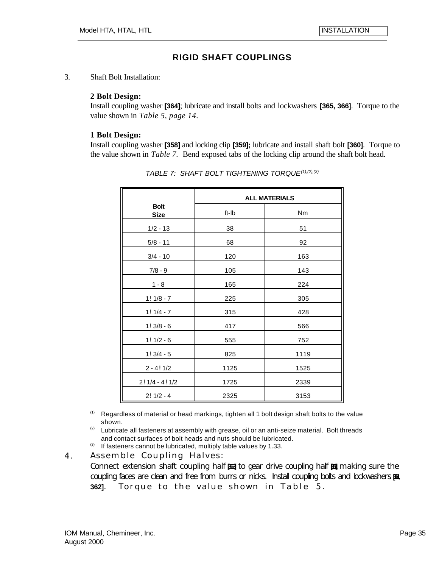### **RIGID SHAFT COUPLINGS**

3. Shaft Bolt Installation:

#### **2 Bolt Design:**

Install coupling washer **[364]**; lubricate and install bolts and lockwashers **[365, 366]**. Torque to the value shown in *Table 5, page 14*.

#### **1 Bolt Design:**

Install coupling washer **[358]** and locking clip **[359];** lubricate and install shaft bolt **[360]**. Torque to the value shown in *Table 7.* Bend exposed tabs of the locking clip around the shaft bolt head.

|                            | <b>ALL MATERIALS</b> |      |  |  |
|----------------------------|----------------------|------|--|--|
| <b>Bolt</b><br><b>Size</b> | ft-Ib                | Nm   |  |  |
| $1/2 - 13$                 | 38                   | 51   |  |  |
| $5/8 - 11$                 | 68                   | 92   |  |  |
| $3/4 - 10$                 | 120                  | 163  |  |  |
| $7/8 - 9$                  | 105                  | 143  |  |  |
| $1 - 8$                    | 165                  | 224  |  |  |
| $1! 1/8 - 7$               | 225                  | 305  |  |  |
| $1! 1/4 - 7$               | 315                  | 428  |  |  |
| $1!3/8 - 6$                | 417                  | 566  |  |  |
| $1! 1/2 - 6$               | 555                  | 752  |  |  |
| $1!3/4-5$                  | 825                  | 1119 |  |  |
| $2 - 4!1/2$                | 1125                 | 1525 |  |  |
| $2!1/4 - 4!1/2$            | 1725                 | 2339 |  |  |
| $2!1/2 - 4$                | 2325                 | 3153 |  |  |

*TABLE 7: SHAFT BOLT TIGHTENING TORQUE(1),(2),(3)*

(1) Regardless of material or head markings, tighten all 1 bolt design shaft bolts to the value shown.

<sup>(2)</sup> Lubricate all fasteners at assembly with grease, oil or an anti-seize material. Bolt threads and contact surfaces of bolt heads and nuts should be lubricated.

- $(3)$  If fasteners cannot be lubricated, multiply table values by 1.33.
- 4. Assemble Coupling Halves:

Connect extension shaft coupling half **[363]** to gear drive coupling half **[351]** making sure the coupling faces are clean and free from burrs or nicks. Install coupling bolts and lockwashers **[361, 362]**. Torque to the value shown in *Table 5.*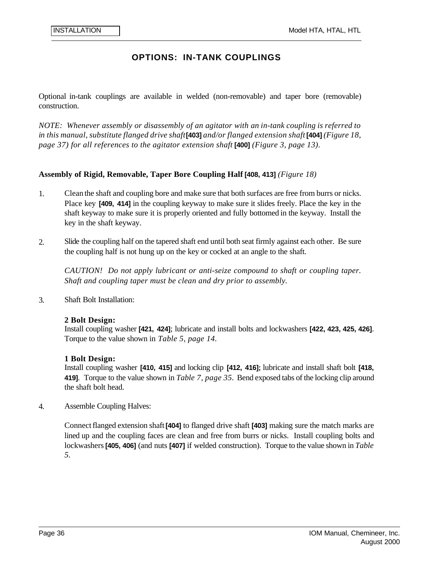## **OPTIONS: IN-TANK COUPLINGS**

Optional in-tank couplings are available in welded (non-removable) and taper bore (removable) construction.

*NOTE: Whenever assembly or disassembly of an agitator with an in-tank coupling is referred to in this manual, substitute flanged drive shaft***[403]** *and/or flanged extension shaft* **[404]** *(Figure 18, page 37) for all references to the agitator extension shaft* **[400]** *(Figure 3, page 13)*.

### **Assembly of Rigid, Removable, Taper Bore Coupling Half [408, 413]** *(Figure 18)*

- 1. Clean the shaft and coupling bore and make sure that both surfaces are free from burrs or nicks. Place key **[409, 414]** in the coupling keyway to make sure it slides freely. Place the key in the shaft keyway to make sure it is properly oriented and fully bottomed in the keyway. Install the key in the shaft keyway.
- 2. Slide the coupling half on the tapered shaft end until both seat firmly against each other. Be sure the coupling half is not hung up on the key or cocked at an angle to the shaft.

*CAUTION! Do not apply lubricant or anti-seize compound to shaft or coupling taper. Shaft and coupling taper must be clean and dry prior to assembly.*

3. Shaft Bolt Installation:

### **2 Bolt Design:**

Install coupling washer **[421, 424]**; lubricate and install bolts and lockwashers **[422, 423, 425, 426]**. Torque to the value shown in *Table 5, page 14.*

### **1 Bolt Design:**

Install coupling washer **[410, 415]** and locking clip **[412, 416];** lubricate and install shaft bolt **[418, 419]**. Torque to the value shown in *Table 7, page 35.* Bend exposed tabs of the locking clip around the shaft bolt head.

4. Assemble Coupling Halves:

Connect flanged extension shaft **[404]** to flanged drive shaft **[403]** making sure the match marks are lined up and the coupling faces are clean and free from burrs or nicks. Install coupling bolts and lockwashers**[405, 406]** (and nuts **[407]** if welded construction). Torque to the value shown in *Table 5.*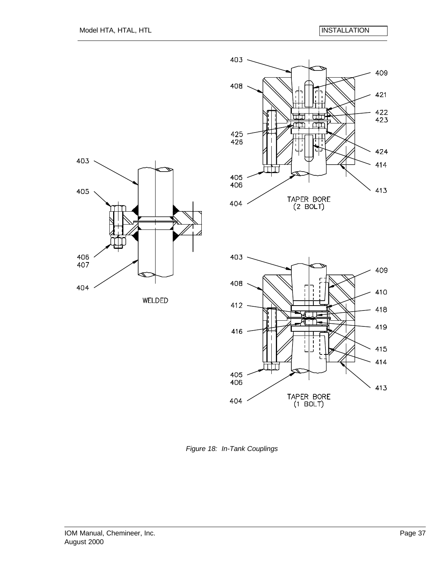





*Figure 18: In-Tank Couplings*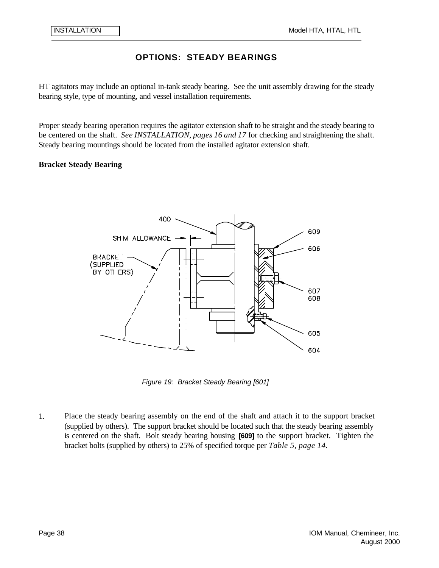### **OPTIONS: STEADY BEARINGS**

HT agitators may include an optional in-tank steady bearing. See the unit assembly drawing for the steady bearing style, type of mounting, and vessel installation requirements.

Proper steady bearing operation requires the agitator extension shaft to be straight and the steady bearing to be centered on the shaft. *See INSTALLATION, pages 16 and 17* for checking and straightening the shaft. Steady bearing mountings should be located from the installed agitator extension shaft.

#### **Bracket Steady Bearing**



*Figure 19: Bracket Steady Bearing [601]*

1. Place the steady bearing assembly on the end of the shaft and attach it to the support bracket (supplied by others). The support bracket should be located such that the steady bearing assembly is centered on the shaft. Bolt steady bearing housing **[609]** to the support bracket. Tighten the bracket bolts (supplied by others) to 25% of specified torque per *Table 5, page 14.*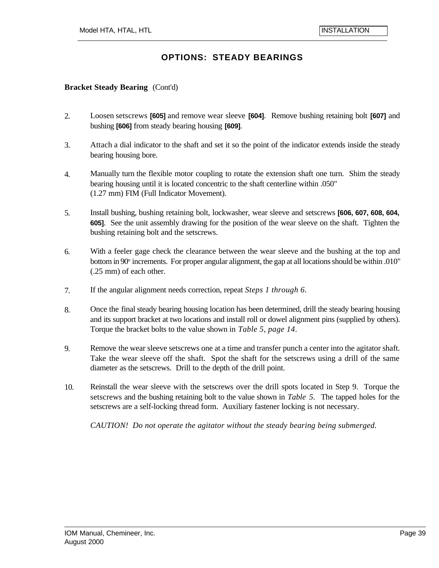### **OPTIONS: STEADY BEARINGS**

#### **Bracket Steady Bearing** (Cont'd)

- 2. Loosen setscrews **[605]** and remove wear sleeve **[604]**. Remove bushing retaining bolt **[607]** and bushing **[606]** from steady bearing housing **[609]**.
- 3. Attach a dial indicator to the shaft and set it so the point of the indicator extends inside the steady bearing housing bore.
- 4. Manually turn the flexible motor coupling to rotate the extension shaft one turn. Shim the steady bearing housing until it is located concentric to the shaft centerline within .050" (1.27 mm) FIM (Full Indicator Movement).
- 5. Install bushing, bushing retaining bolt, lockwasher, wear sleeve and setscrews **[606, 607, 608, 604, 605]**. See the unit assembly drawing for the position of the wear sleeve on the shaft. Tighten the bushing retaining bolt and the setscrews.
- 6. With a feeler gage check the clearance between the wear sleeve and the bushing at the top and bottom in 90° increments. For proper angular alignment, the gap at all locations should be within .010" (.25 mm) of each other.
- 7. If the angular alignment needs correction, repeat *Steps 1 through 6.*
- 8. Once the final steady bearing housing location has been determined, drill the steady bearing housing and its support bracket at two locations and install roll or dowel alignment pins (supplied by others). Torque the bracket bolts to the value shown in *Table 5, page 14*.
- 9. Remove the wear sleeve setscrews one at a time and transfer punch a center into the agitator shaft. Take the wear sleeve off the shaft. Spot the shaft for the setscrews using a drill of the same diameter as the setscrews. Drill to the depth of the drill point.
- 10. Reinstall the wear sleeve with the setscrews over the drill spots located in Step 9. Torque the setscrews and the bushing retaining bolt to the value shown in *Table 5.* The tapped holes for the setscrews are a self-locking thread form. Auxiliary fastener locking is not necessary.

*CAUTION! Do not operate the agitator without the steady bearing being submerged.*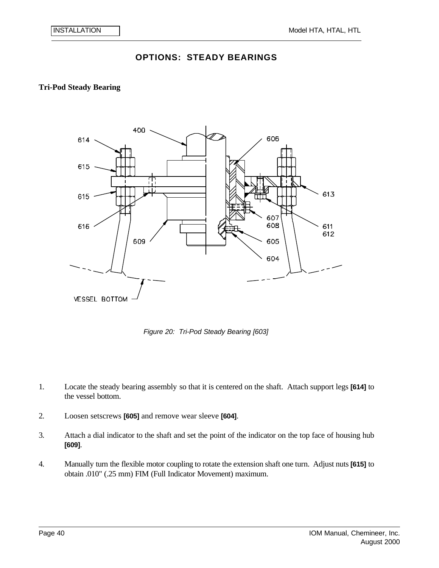

#### **Tri-Pod Steady Bearing**



*Figure 20: Tri-Pod Steady Bearing [603]*

- 1. Locate the steady bearing assembly so that it is centered on the shaft. Attach support legs **[614]** to the vessel bottom.
- 2. Loosen setscrews **[605]** and remove wear sleeve **[604]**.
- 3. Attach a dial indicator to the shaft and set the point of the indicator on the top face of housing hub **[609]**.
- 4. Manually turn the flexible motor coupling to rotate the extension shaft one turn. Adjust nuts **[615]** to obtain .010" (.25 mm) FIM (Full Indicator Movement) maximum.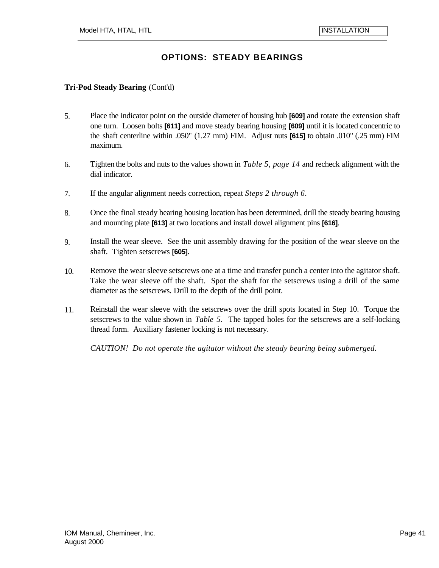### **OPTIONS: STEADY BEARINGS**

#### **Tri-Pod Steady Bearing** (Cont'd)

- 5. Place the indicator point on the outside diameter of housing hub **[609]** and rotate the extension shaft one turn. Loosen bolts **[611]** and move steady bearing housing **[609]** until it is located concentric to the shaft centerline within .050" (1.27 mm) FIM. Adjust nuts **[615]** to obtain .010" (.25 mm) FIM maximum.
- 6. Tighten the bolts and nuts to the values shown in *Table 5, page 14* and recheck alignment with the dial indicator.
- 7. If the angular alignment needs correction, repeat *Steps 2 through 6*.
- 8. Once the final steady bearing housing location has been determined, drill the steady bearing housing and mounting plate **[613]** at two locations and install dowel alignment pins **[616]**.
- 9. Install the wear sleeve. See the unit assembly drawing for the position of the wear sleeve on the shaft. Tighten setscrews **[605]**.
- 10. Remove the wear sleeve setscrews one at a time and transfer punch a center into the agitator shaft. Take the wear sleeve off the shaft. Spot the shaft for the setscrews using a drill of the same diameter as the setscrews. Drill to the depth of the drill point.
- 11. Reinstall the wear sleeve with the setscrews over the drill spots located in Step 10. Torque the setscrews to the value shown in *Table 5.* The tapped holes for the setscrews are a self-locking thread form. Auxiliary fastener locking is not necessary.

*CAUTION! Do not operate the agitator without the steady bearing being submerged.*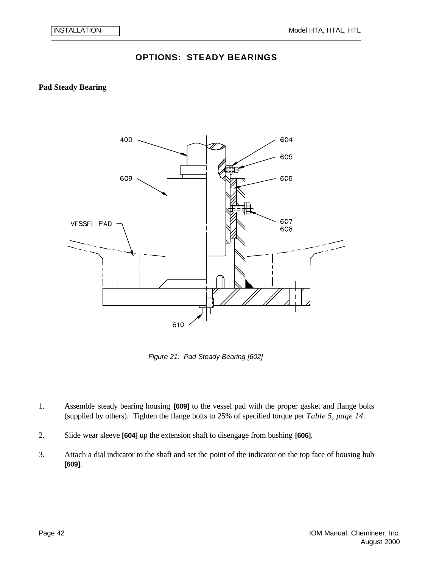### **OPTIONS: STEADY BEARINGS**

#### **Pad Steady Bearing**



*Figure 21: Pad Steady Bearing [602]*

- 1. Assemble steady bearing housing **[609]** to the vessel pad with the proper gasket and flange bolts (supplied by others). Tighten the flange bolts to 25% of specified torque per *Table 5, page 14.*
- 2. Slide wear sleeve **[604]** up the extension shaft to disengage from bushing **[606]**.
- 3. Attach a dial indicator to the shaft and set the point of the indicator on the top face of housing hub **[609]**.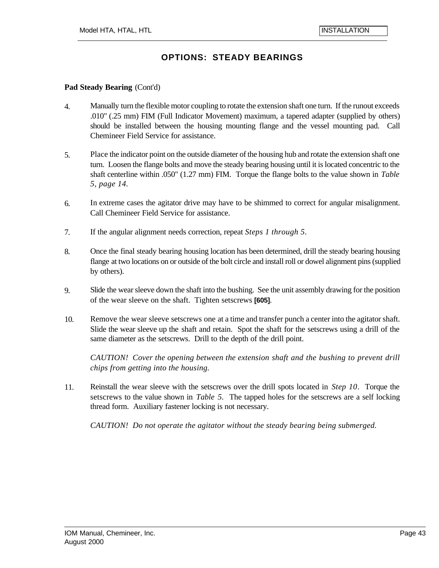### **OPTIONS: STEADY BEARINGS**

#### **Pad Steady Bearing** (Cont'd)

- 4. Manually turn the flexible motor coupling to rotate the extension shaft one turn. If the runout exceeds .010" (.25 mm) FIM (Full Indicator Movement) maximum, a tapered adapter (supplied by others) should be installed between the housing mounting flange and the vessel mounting pad. Call Chemineer Field Service for assistance.
- 5. Place the indicator point on the outside diameter of the housing hub and rotate the extension shaft one turn. Loosen the flange bolts and move the steady bearing housing until it is located concentric to the shaft centerline within .050" (1.27 mm) FIM. Torque the flange bolts to the value shown in *Table 5, page 14.*
- 6. In extreme cases the agitator drive may have to be shimmed to correct for angular misalignment. Call Chemineer Field Service for assistance.
- 7. If the angular alignment needs correction, repeat *Steps 1 through 5*.
- 8. Once the final steady bearing housing location has been determined, drill the steady bearing housing flange at two locations on or outside of the bolt circle and install roll or dowel alignment pins (supplied by others).
- 9. Slide the wear sleeve down the shaft into the bushing. See the unit assembly drawing for the position of the wear sleeve on the shaft. Tighten setscrews **[605]**.
- 10. Remove the wear sleeve setscrews one at a time and transfer punch a center into the agitator shaft. Slide the wear sleeve up the shaft and retain. Spot the shaft for the setscrews using a drill of the same diameter as the setscrews. Drill to the depth of the drill point.

*CAUTION! Cover the opening between the extension shaft and the bushing to prevent drill chips from getting into the housing.*

11. Reinstall the wear sleeve with the setscrews over the drill spots located in *Step 10*. Torque the setscrews to the value shown in *Table 5.* The tapped holes for the setscrews are a self locking thread form. Auxiliary fastener locking is not necessary.

*CAUTION! Do not operate the agitator without the steady bearing being submerged.*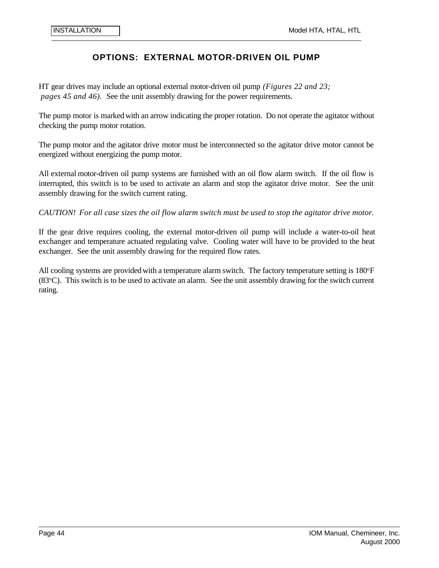## **OPTIONS: EXTERNAL MOTOR-DRIVEN OIL PUMP**

HT gear drives may include an optional external motor-driven oil pump *(Figures 22 and 23; pages 45 and 46).* See the unit assembly drawing for the power requirements.

The pump motor is marked with an arrow indicating the proper rotation. Do not operate the agitator without checking the pump motor rotation.

The pump motor and the agitator drive motor must be interconnected so the agitator drive motor cannot be energized without energizing the pump motor.

All external motor-driven oil pump systems are furnished with an oil flow alarm switch. If the oil flow is interrupted, this switch is to be used to activate an alarm and stop the agitator drive motor. See the unit assembly drawing for the switch current rating.

*CAUTION! For all case sizes the oil flow alarm switch must be used to stop the agitator drive motor.*

If the gear drive requires cooling, the external motor-driven oil pump will include a water-to-oil heat exchanger and temperature actuated regulating valve. Cooling water will have to be provided to the heat exchanger. See the unit assembly drawing for the required flow rates.

All cooling systems are provided with a temperature alarm switch. The factory temperature setting is 180°F (83<sup>o</sup>C). This switch is to be used to activate an alarm. See the unit assembly drawing for the switch current rating.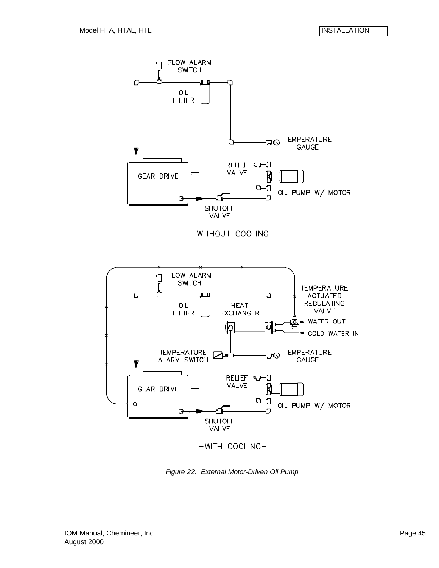

*Figure 22: External Motor-Driven Oil Pump*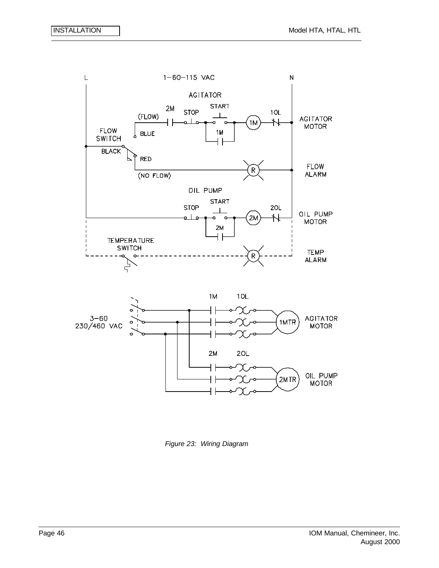

*Figure 23: Wiring Diagram*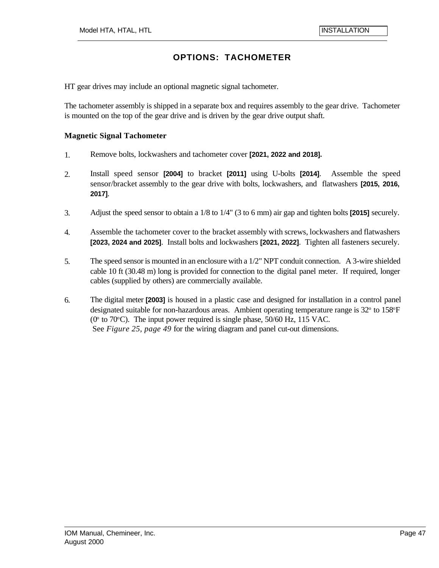## **OPTIONS: TACHOMETER**

HT gear drives may include an optional magnetic signal tachometer.

The tachometer assembly is shipped in a separate box and requires assembly to the gear drive. Tachometer is mounted on the top of the gear drive and is driven by the gear drive output shaft.

#### **Magnetic Signal Tachometer**

- 1. Remove bolts, lockwashers and tachometer cover **[2021, 2022 and 2018].**
- 2. Install speed sensor **[2004]** to bracket **[2011]** using U-bolts **[2014]**. Assemble the speed sensor/bracket assembly to the gear drive with bolts, lockwashers, and flatwashers **[2015, 2016, 2017]**.
- 3. Adjust the speed sensor to obtain a 1/8 to 1/4" (3 to 6 mm) air gap and tighten bolts **[2015]** securely.
- 4. Assemble the tachometer cover to the bracket assembly with screws, lockwashers and flatwashers **[2023, 2024 and 2025]**. Install bolts and lockwashers **[2021, 2022]**. Tighten all fasteners securely.
- 5. The speed sensor is mounted in an enclosure with a 1/2" NPT conduit connection. A 3-wire shielded cable 10 ft (30.48 m) long is provided for connection to the digital panel meter. If required, longer cables (supplied by others) are commercially available.
- 6. The digital meter **[2003]** is housed in a plastic case and designed for installation in a control panel designated suitable for non-hazardous areas. Ambient operating temperature range is 32° to 158°F ( $0^{\circ}$  to 70 $^{\circ}$ C). The input power required is single phase, 50/60 Hz, 115 VAC. See *Figure 25, page 49* for the wiring diagram and panel cut-out dimensions.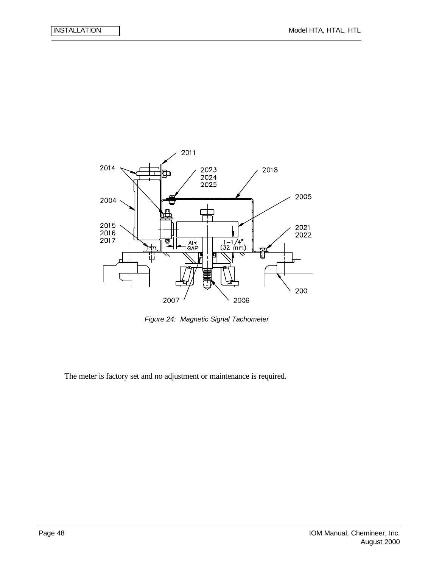

*Figure 24: Magnetic Signal Tachometer*

The meter is factory set and no adjustment or maintenance is required.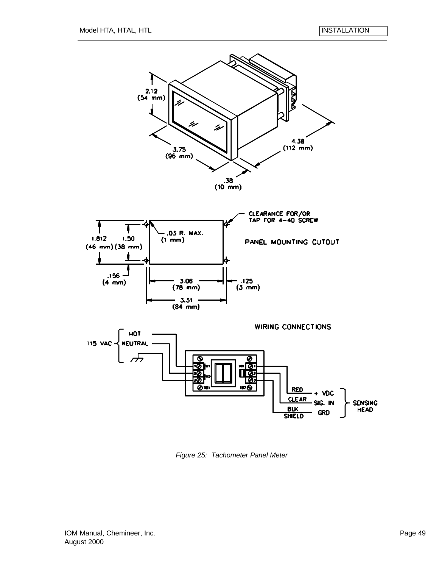

*Figure 25: Tachometer Panel Meter*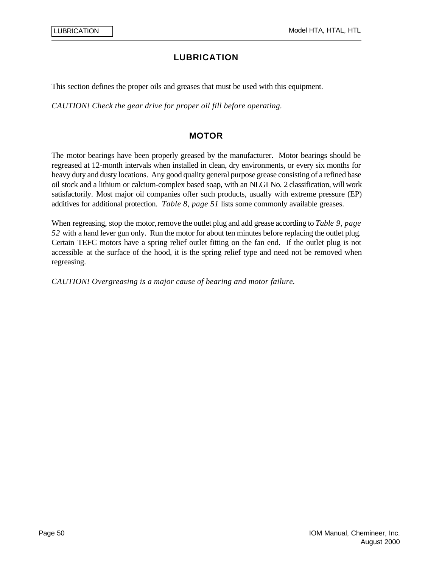## **LUBRICATION**

This section defines the proper oils and greases that must be used with this equipment.

*CAUTION! Check the gear drive for proper oil fill before operating.* 

### **MOTOR**

The motor bearings have been properly greased by the manufacturer. Motor bearings should be regreased at 12-month intervals when installed in clean, dry environments, or every six months for heavy duty and dusty locations. Any good quality general purpose grease consisting of a refined base oil stock and a lithium or calcium-complex based soap, with an NLGI No. 2 classification, will work satisfactorily. Most major oil companies offer such products, usually with extreme pressure (EP) additives for additional protection. *Table 8, page 51* lists some commonly available greases.

When regreasing, stop the motor, remove the outlet plug and add grease according to *Table 9, page 52* with a hand lever gun only. Run the motor for about ten minutes before replacing the outlet plug. Certain TEFC motors have a spring relief outlet fitting on the fan end. If the outlet plug is not accessible at the surface of the hood, it is the spring relief type and need not be removed when regreasing.

*CAUTION! Overgreasing is a major cause of bearing and motor failure.*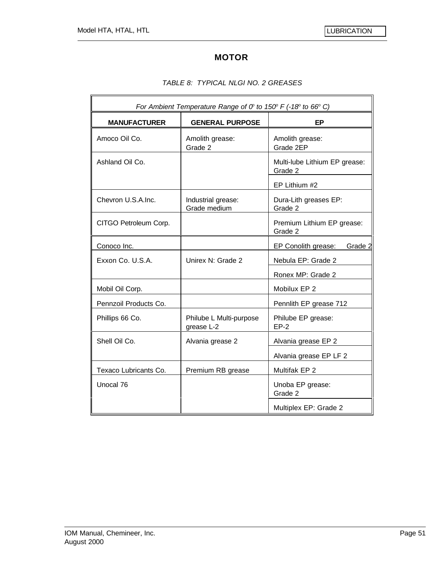# **MOTOR**

### *TABLE 8: TYPICAL NLGI NO. 2 GREASES*

| For Ambient Temperature Range of $O^{\circ}$ to 150 $^{\circ}$ F (-18 $^{\circ}$ to 66 $^{\circ}$ C) |                                       |                                          |  |  |  |  |
|------------------------------------------------------------------------------------------------------|---------------------------------------|------------------------------------------|--|--|--|--|
| <b>MANUFACTURER</b>                                                                                  | <b>GENERAL PURPOSE</b>                | EP                                       |  |  |  |  |
| Amoco Oil Co.                                                                                        | Amolith grease:<br>Grade 2            | Amolith grease:<br>Grade 2EP             |  |  |  |  |
| Ashland Oil Co.                                                                                      |                                       | Multi-lube Lithium EP grease:<br>Grade 2 |  |  |  |  |
|                                                                                                      |                                       | EP Lithium #2                            |  |  |  |  |
| Chevron U.S.A.Inc.                                                                                   | Industrial grease:<br>Grade medium    | Dura-Lith greases EP:<br>Grade 2         |  |  |  |  |
| CITGO Petroleum Corp.                                                                                |                                       | Premium Lithium EP grease:<br>Grade 2    |  |  |  |  |
| Conoco Inc.                                                                                          |                                       | EP Conolith grease:<br>Grade 2           |  |  |  |  |
| Exxon Co. U.S.A.                                                                                     | Unirex N: Grade 2                     | Nebula EP: Grade 2                       |  |  |  |  |
|                                                                                                      |                                       | Ronex MP: Grade 2                        |  |  |  |  |
| Mobil Oil Corp.                                                                                      |                                       | Mobilux EP 2                             |  |  |  |  |
| Pennzoil Products Co.                                                                                |                                       | Pennlith EP grease 712                   |  |  |  |  |
| Phillips 66 Co.                                                                                      | Philube L Multi-purpose<br>grease L-2 | Philube EP grease:<br>$EP-2$             |  |  |  |  |
| Shell Oil Co.                                                                                        | Alvania grease 2                      | Alvania grease EP 2                      |  |  |  |  |
|                                                                                                      |                                       | Alvania grease EP LF 2                   |  |  |  |  |
| Texaco Lubricants Co.                                                                                | Premium RB grease                     | Multifak EP 2                            |  |  |  |  |
| Unocal 76                                                                                            |                                       | Unoba EP grease:<br>Grade 2              |  |  |  |  |
|                                                                                                      |                                       | Multiplex EP: Grade 2                    |  |  |  |  |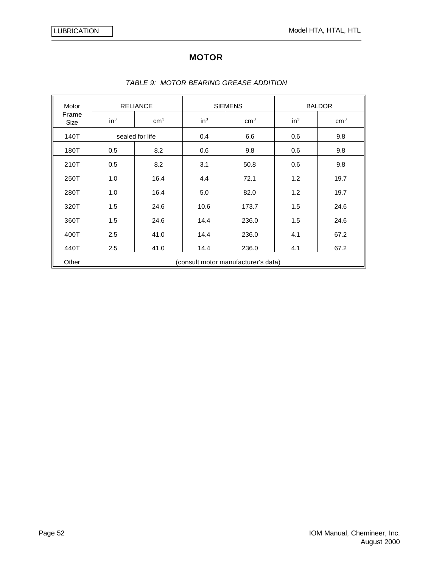# **MOTOR**

| Motor         | <b>RELIANCE</b>                     |                 | <b>SIEMENS</b> |                 | <b>BALDOR</b> |                 |
|---------------|-------------------------------------|-----------------|----------------|-----------------|---------------|-----------------|
| Frame<br>Size | $in^3$                              | cm <sup>3</sup> | $in^3$         | cm <sup>3</sup> | $in^3$        | cm <sup>3</sup> |
| 140T          |                                     | sealed for life | 0.4            | 6.6             | 0.6           | 9.8             |
| 180T          | 0.5                                 | 8.2             | 0.6            | 9.8             | 0.6           | 9.8             |
| 210T          | 0.5                                 | 8.2             | 3.1            | 50.8            | 0.6           | 9.8             |
| 250T          | 1.0                                 | 16.4            | 4.4            | 72.1            | 1.2           | 19.7            |
| 280T          | 1.0                                 | 16.4            | 5.0            | 82.0            | 1.2           | 19.7            |
| 320T          | 1.5                                 | 24.6            | 10.6           | 173.7           | 1.5           | 24.6            |
| 360T          | 1.5                                 | 24.6            | 14.4           | 236.0           | 1.5           | 24.6            |
| 400T          | 2.5                                 | 41.0            | 14.4           | 236.0           | 4.1           | 67.2            |
| 440T          | 2.5                                 | 41.0            | 14.4           | 236.0           | 4.1           | 67.2            |
| Other         | (consult motor manufacturer's data) |                 |                |                 |               |                 |

#### *TABLE 9: MOTOR BEARING GREASE ADDITION*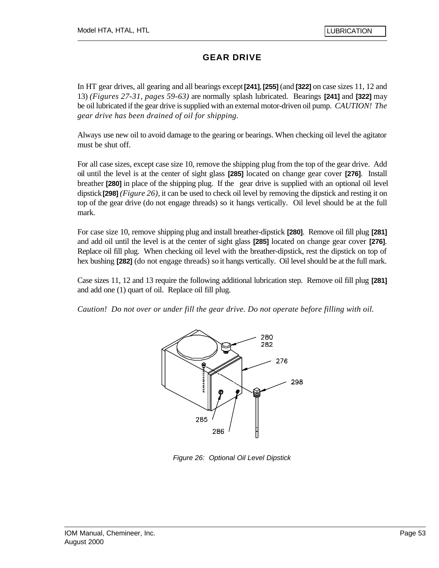## **GEAR DRIVE**

In HT gear drives, all gearing and all bearings except **[241]**, **[255]** (and **[322]** on case sizes 11, 12 and 13) *(Figures 27-31, pages 59-63)* are normally splash lubricated. Bearings **[241]** and **[322]** may be oil lubricated if the gear drive is supplied with an external motor-driven oil pump. *CAUTION! The gear drive has been drained of oil for shipping.*

Always use new oil to avoid damage to the gearing or bearings. When checking oil level the agitator must be shut off.

For all case sizes, except case size 10, remove the shipping plug from the top of the gear drive. Add oil until the level is at the center of sight glass **[285]** located on change gear cover **[276]**. Install breather **[280]** in place of the shipping plug. If the gear drive is supplied with an optional oil level dipstick**[298]** *(Figure 26)*, it can be used to check oil level by removing the dipstick and resting it on top of the gear drive (do not engage threads) so it hangs vertically. Oil level should be at the full mark.

For case size 10, remove shipping plug and install breather-dipstick **[280]**. Remove oil fill plug **[281]** and add oil until the level is at the center of sight glass **[285]** located on change gear cover **[276]**. Replace oil fill plug. When checking oil level with the breather-dipstick, rest the dipstick on top of hex bushing **[282]** (do not engage threads) so it hangs vertically. Oil level should be at the full mark.

Case sizes 11, 12 and 13 require the following additional lubrication step. Remove oil fill plug **[281]** and add one (1) quart of oil. Replace oil fill plug.

*Caution! Do not over or under fill the gear drive. Do not operate before filling with oil.*



*Figure 26: Optional Oil Level Dipstick*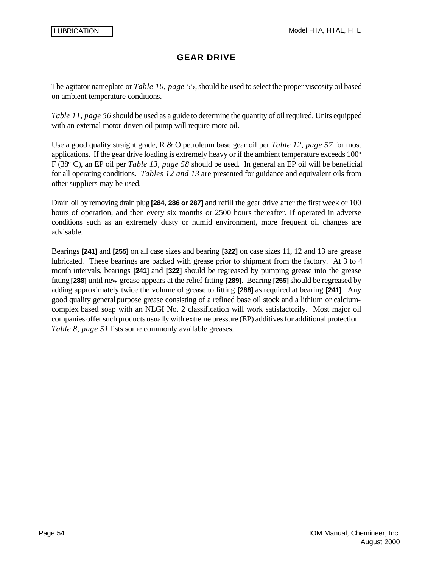## **GEAR DRIVE**

The agitator nameplate or *Table 10, page 55*, should be used to select the proper viscosity oil based on ambient temperature conditions.

*Table 11, page 56* should be used as a guide to determine the quantity of oil required. Units equipped with an external motor-driven oil pump will require more oil.

Use a good quality straight grade, R & O petroleum base gear oil per *Table 12, page 57* for most applications. If the gear drive loading is extremely heavy or if the ambient temperature exceeds  $100^{\circ}$ F (38°C), an EP oil per *Table 13, page 58* should be used. In general an EP oil will be beneficial for all operating conditions. *Tables 12 and 13* are presented for guidance and equivalent oils from other suppliers may be used.

Drain oil by removing drain plug **[284, 286 or 287]** and refill the gear drive after the first week or 100 hours of operation, and then every six months or 2500 hours thereafter. If operated in adverse conditions such as an extremely dusty or humid environment, more frequent oil changes are advisable.

Bearings **[241]** and **[255]** on all case sizes and bearing **[322]** on case sizes 11, 12 and 13 are grease lubricated. These bearings are packed with grease prior to shipment from the factory. At 3 to 4 month intervals, bearings **[241]** and **[322]** should be regreased by pumping grease into the grease fitting **[288]** until new grease appears at the relief fitting **[289]**. Bearing **[255]** should be regreased by adding approximately twice the volume of grease to fitting **[288]** as required at bearing **[241]**. Any good quality general purpose grease consisting of a refined base oil stock and a lithium or calciumcomplex based soap with an NLGI No. 2 classification will work satisfactorily. Most major oil companies offer such products usually with extreme pressure (EP) additives for additional protection. *Table 8, page 51* lists some commonly available greases.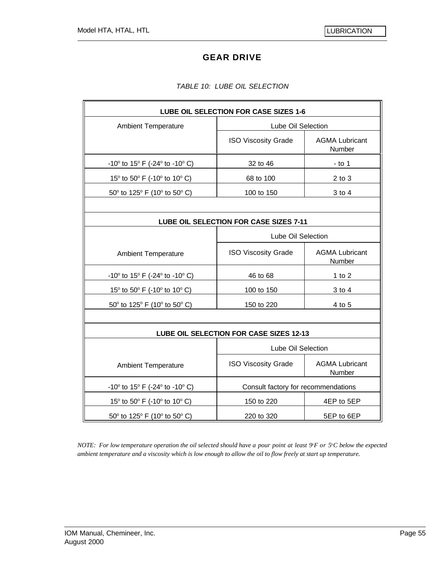### **GEAR DRIVE**

#### *TABLE 10: LUBE OIL SELECTION*

| LUBE OIL SELECTION FOR CASE SIZES 1-6                              |                                         |                                 |  |  |  |  |
|--------------------------------------------------------------------|-----------------------------------------|---------------------------------|--|--|--|--|
| <b>Ambient Temperature</b>                                         | Lube Oil Selection                      |                                 |  |  |  |  |
|                                                                    | <b>ISO Viscosity Grade</b>              | <b>AGMA Lubricant</b><br>Number |  |  |  |  |
| $-10^{\circ}$ to 15° F ( $-24^{\circ}$ to $-10^{\circ}$ C)         | 32 to 46                                | - to 1                          |  |  |  |  |
| 15 $\degree$ to 50 $\degree$ F (-10 $\degree$ to 10 $\degree$ C)   | 68 to 100                               | $2$ to $3$                      |  |  |  |  |
| 50° to 125° F (10° to 50° C)                                       | 100 to 150                              | 3 to 4                          |  |  |  |  |
|                                                                    |                                         |                                 |  |  |  |  |
|                                                                    | LUBE OIL SELECTION FOR CASE SIZES 7-11  |                                 |  |  |  |  |
|                                                                    | Lube Oil Selection                      |                                 |  |  |  |  |
| <b>Ambient Temperature</b>                                         | <b>ISO Viscosity Grade</b>              | <b>AGMA Lubricant</b><br>Number |  |  |  |  |
| -10 $\degree$ to 15 $\degree$ F (-24 $\degree$ to -10 $\degree$ C) | 46 to 68                                | 1 to $2$                        |  |  |  |  |
| 15° to 50° F (-10° to 10° C)                                       | 100 to 150                              | 3 to 4                          |  |  |  |  |
| 50° to 125° F (10° to 50° C)                                       | 150 to 220                              | 4 to 5                          |  |  |  |  |
|                                                                    |                                         |                                 |  |  |  |  |
|                                                                    | LUBE OIL SELECTION FOR CASE SIZES 12-13 |                                 |  |  |  |  |
|                                                                    | Lube Oil Selection                      |                                 |  |  |  |  |
| <b>Ambient Temperature</b>                                         | <b>ISO Viscosity Grade</b>              | <b>AGMA Lubricant</b><br>Number |  |  |  |  |
| -10 $\degree$ to 15 $\degree$ F (-24 $\degree$ to -10 $\degree$ C) | Consult factory for recommendations     |                                 |  |  |  |  |
| 15 $\degree$ to 50 $\degree$ F (-10 $\degree$ to 10 $\degree$ C)   | 150 to 220                              | 4EP to 5EP                      |  |  |  |  |
| 50° to 125° F (10° to 50° C)                                       | 220 to 320                              | 5EP to 6EP                      |  |  |  |  |

*NOTE: For low temperature operation the oil selected should have a pour point at least*  $\mathcal{P}F$  *or*  $\mathcal{F}^c$  *below the expected ambient temperature and a viscosity which is low enough to allow the oil to flow freely at start up temperature.*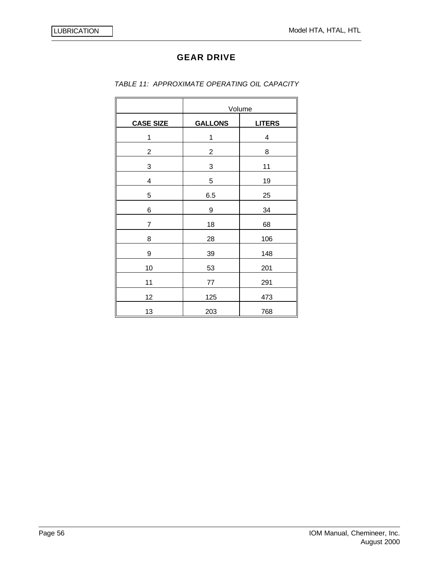# **GEAR DRIVE**

|                  | Volume         |               |  |  |
|------------------|----------------|---------------|--|--|
| <b>CASE SIZE</b> | <b>GALLONS</b> | <b>LITERS</b> |  |  |
| 1                | 1              | 4             |  |  |
| $\overline{c}$   | $\overline{c}$ | 8             |  |  |
| 3                | 3              | 11            |  |  |
| 4                | 5              | 19            |  |  |
| 5                | 6.5            | 25            |  |  |
| 6                | 9              | 34            |  |  |
| 7                | 18             | 68            |  |  |
| 8                | 28             | 106           |  |  |
| 9                | 39             | 148           |  |  |
| 10               | 53             | 201           |  |  |
| 11               | 77             | 291           |  |  |
| 12               | 125            | 473           |  |  |
| 13               | 203            | 768           |  |  |

#### *TABLE 11: APPROXIMATE OPERATING OIL CAPACITY*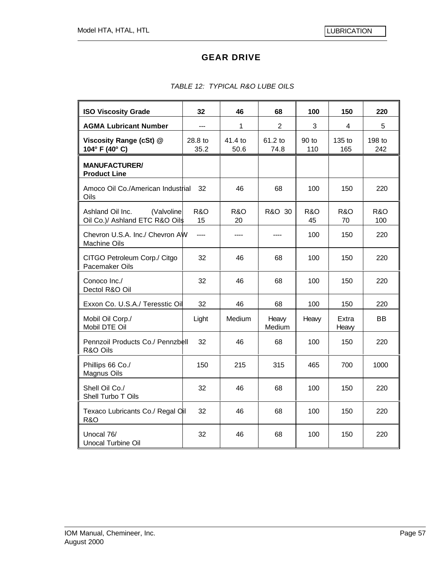# **GEAR DRIVE**

| <b>ISO Viscosity Grade</b>                                       | 32                   | 46                   | 68              | 100          | 150                  | 220                   |
|------------------------------------------------------------------|----------------------|----------------------|-----------------|--------------|----------------------|-----------------------|
| <b>AGMA Lubricant Number</b>                                     | ---                  | 1                    | 2               | 3            | 4                    | 5                     |
| Viscosity Range (cSt) @<br>104° F (40° C)                        | 28.8 to<br>35.2      | 41.4 to<br>50.6      | 61.2 to<br>74.8 | 90 to<br>110 | 135 to<br>165        | 198 to<br>242         |
| <b>MANUFACTURER/</b><br><b>Product Line</b>                      |                      |                      |                 |              |                      |                       |
| Amoco Oil Co./American Industrial<br>Oils                        | 32                   | 46                   | 68              | 100          | 150                  | 220                   |
| Ashland Oil Inc.<br>(Valvoline<br>Oil Co.)/ Ashland ETC R&O Oils | <b>R&amp;O</b><br>15 | <b>R&amp;O</b><br>20 | R&O 30          | R&O<br>45    | <b>R&amp;O</b><br>70 | <b>R&amp;O</b><br>100 |
| Chevron U.S.A. Inc./ Chevron AW<br><b>Machine Oils</b>           | ----                 |                      |                 | 100          | 150                  | 220                   |
| CITGO Petroleum Corp./ Citgo<br>Pacemaker Oils                   | 32                   | 46                   | 68              | 100          | 150                  | 220                   |
| Conoco Inc./<br>Dectol R&O Oil                                   | 32                   | 46                   | 68              | 100          | 150                  | 220                   |
| Exxon Co. U.S.A./ Teresstic Oil                                  | 32                   | 46                   | 68              | 100          | 150                  | 220                   |
| Mobil Oil Corp./<br>Mobil DTE Oil                                | Light                | Medium               | Heavy<br>Medium | Heavy        | Extra<br>Heavy       | BB.                   |
| Pennzoil Products Co./ Pennzbell<br>R&O Oils                     | 32                   | 46                   | 68              | 100          | 150                  | 220                   |
| Phillips 66 Co./<br><b>Magnus Oils</b>                           | 150                  | 215                  | 315             | 465          | 700                  | 1000                  |
| Shell Oil Co./<br>Shell Turbo T Oils                             | 32                   | 46                   | 68              | 100          | 150                  | 220                   |
| Texaco Lubricants Co./ Regal Oil<br><b>R&amp;O</b>               | 32                   | 46                   | 68              | 100          | 150                  | 220                   |
| Unocal 76/<br><b>Unocal Turbine Oil</b>                          | 32                   | 46                   | 68              | 100          | 150                  | 220                   |

#### *TABLE 12: TYPICAL R&O LUBE OILS*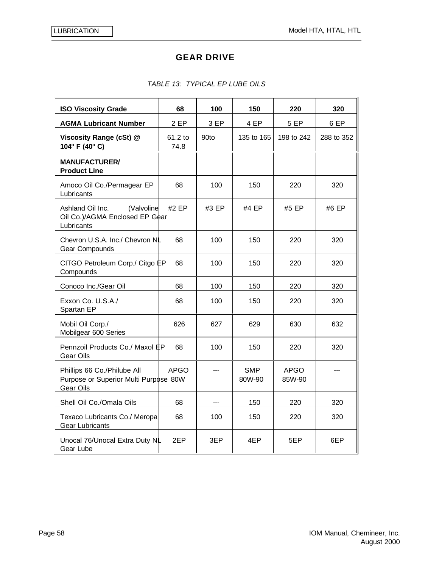# **GEAR DRIVE**

### *TABLE 13: TYPICAL EP LUBE OILS*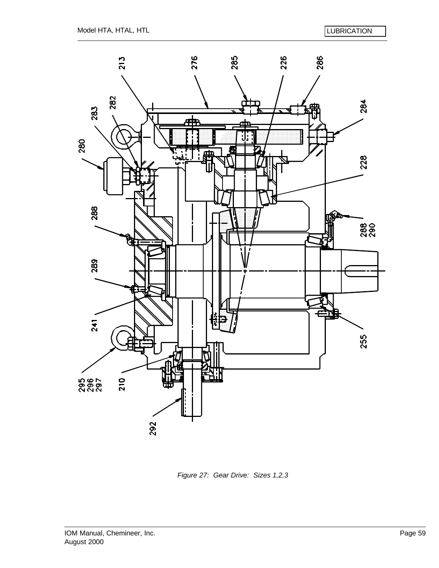

*Figure 27: Gear Drive: Sizes 1,2,3*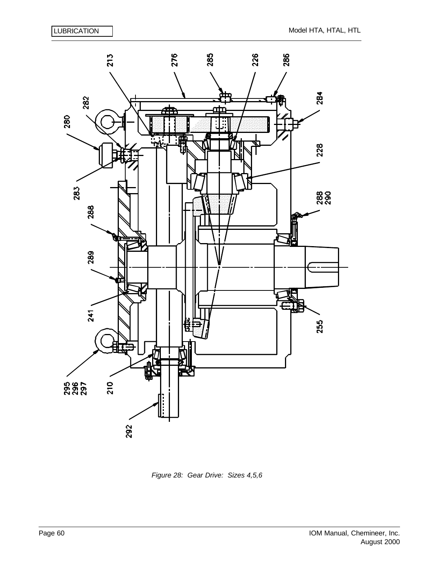

*Figure 28: Gear Drive: Sizes 4,5,6*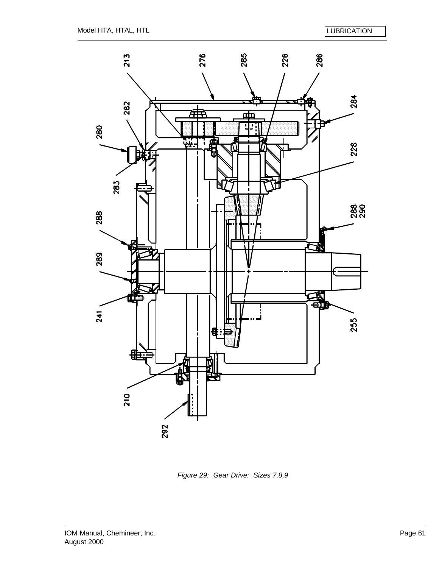

*Figure 29: Gear Drive: Sizes 7,8,9*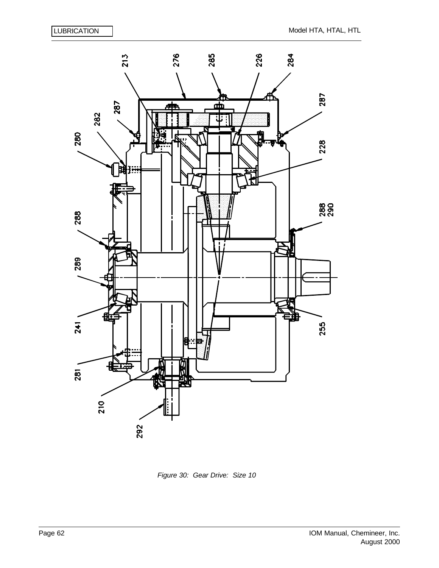

*Figure 30: Gear Drive: Size 10*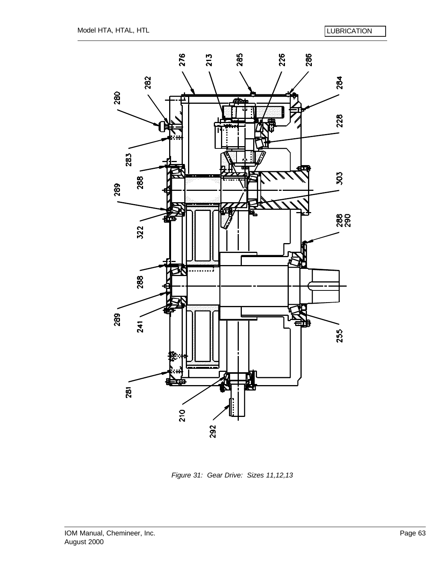

*Figure 31: Gear Drive: Sizes 11,12,13*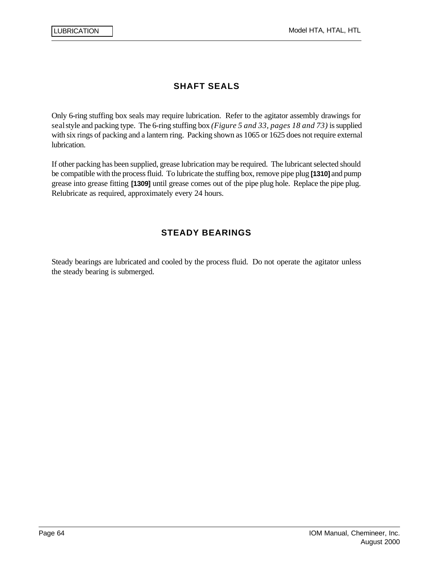## **SHAFT SEALS**

Only 6-ring stuffing box seals may require lubrication. Refer to the agitator assembly drawings for seal style and packing type. The 6-ring stuffing box *(Figure 5 and 33, pages 18 and 73)* is supplied with six rings of packing and a lantern ring. Packing shown as 1065 or 1625 does not require external lubrication.

If other packing has been supplied, grease lubrication may be required. The lubricant selected should be compatible with the process fluid. To lubricate the stuffing box, remove pipe plug **[1310]** and pump grease into grease fitting **[1309]** until grease comes out of the pipe plug hole. Replace the pipe plug. Relubricate as required, approximately every 24 hours.

## **STEADY BEARINGS**

Steady bearings are lubricated and cooled by the process fluid. Do not operate the agitator unless the steady bearing is submerged.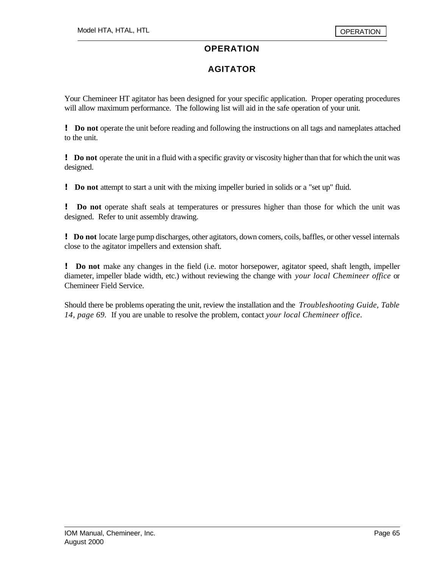### **OPERATION**

## **AGITATOR**

Your Chemineer HT agitator has been designed for your specific application. Proper operating procedures will allow maximum performance. The following list will aid in the safe operation of your unit.

**! Do not** operate the unit before reading and following the instructions on all tags and nameplates attached to the unit.

**! Do not** operate the unit in a fluid with a specific gravity or viscosity higher than that for which the unit was designed.

**! Do not** attempt to start a unit with the mixing impeller buried in solids or a "set up" fluid.

**! Do not** operate shaft seals at temperatures or pressures higher than those for which the unit was designed. Refer to unit assembly drawing.

**! Do not** locate large pump discharges, other agitators, down comers, coils, baffles, or other vessel internals close to the agitator impellers and extension shaft.

**! Do not** make any changes in the field (i.e. motor horsepower, agitator speed, shaft length, impeller diameter, impeller blade width, etc.) without reviewing the change with *your local Chemineer office* or Chemineer Field Service.

Should there be problems operating the unit, review the installation and the *Troubleshooting Guide, Table 14, page 69.* If you are unable to resolve the problem, contact *your local Chemineer office*.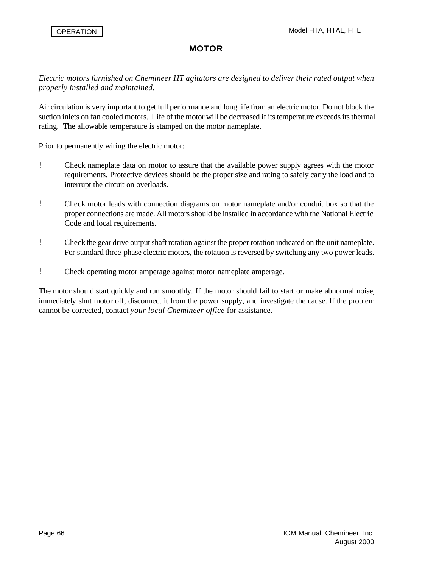### **MOTOR**

*Electric motors furnished on Chemineer HT agitators are designed to deliver their rated output when properly installed and maintained*.

Air circulation is very important to get full performance and long life from an electric motor. Do not block the suction inlets on fan cooled motors. Life of the motor will be decreased if its temperature exceeds its thermal rating. The allowable temperature is stamped on the motor nameplate.

Prior to permanently wiring the electric motor:

- ! Check nameplate data on motor to assure that the available power supply agrees with the motor requirements. Protective devices should be the proper size and rating to safely carry the load and to interrupt the circuit on overloads.
- ! Check motor leads with connection diagrams on motor nameplate and/or conduit box so that the proper connections are made. All motors should be installed in accordance with the National Electric Code and local requirements.
- ! Check the gear drive output shaft rotation against the proper rotation indicated on the unit nameplate. For standard three-phase electric motors, the rotation is reversed by switching any two power leads.
- ! Check operating motor amperage against motor nameplate amperage.

The motor should start quickly and run smoothly. If the motor should fail to start or make abnormal noise, immediately shut motor off, disconnect it from the power supply, and investigate the cause. If the problem cannot be corrected, contact *your local Chemineer office* for assistance.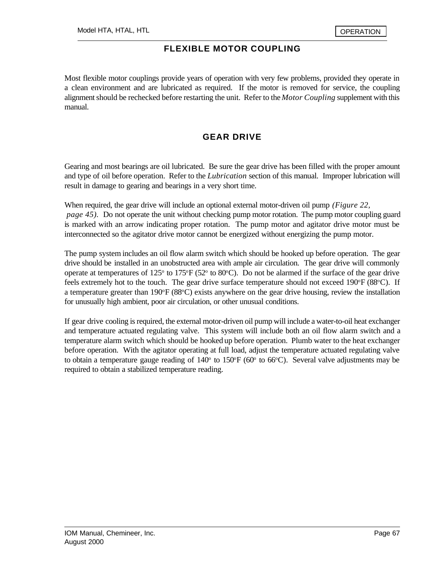## **FLEXIBLE MOTOR COUPLING**

Most flexible motor couplings provide years of operation with very few problems, provided they operate in a clean environment and are lubricated as required. If the motor is removed for service, the coupling alignment should be rechecked before restarting the unit. Refer to the *Motor Coupling* supplement with this manual.

#### **GEAR DRIVE**

Gearing and most bearings are oil lubricated. Be sure the gear drive has been filled with the proper amount and type of oil before operation. Refer to the *Lubrication* section of this manual. Improper lubrication will result in damage to gearing and bearings in a very short time.

When required, the gear drive will include an optional external motor-driven oil pump *(Figure 22, page 45).* Do not operate the unit without checking pump motor rotation. The pump motor coupling guard is marked with an arrow indicating proper rotation. The pump motor and agitator drive motor must be interconnected so the agitator drive motor cannot be energized without energizing the pump motor.

The pump system includes an oil flow alarm switch which should be hooked up before operation. The gear drive should be installed in an unobstructed area with ample air circulation. The gear drive will commonly operate at temperatures of  $125^{\circ}$  to  $175^{\circ}F(52^{\circ}$  to  $80^{\circ}C)$ . Do not be alarmed if the surface of the gear drive feels extremely hot to the touch. The gear drive surface temperature should not exceed  $190^{\circ}F (88^{\circ}C)$ . If a temperature greater than  $190^{\circ}F(88^{\circ}C)$  exists anywhere on the gear drive housing, review the installation for unusually high ambient, poor air circulation, or other unusual conditions.

If gear drive cooling is required, the external motor-driven oil pump will include a water-to-oil heat exchanger and temperature actuated regulating valve. This system will include both an oil flow alarm switch and a temperature alarm switch which should be hooked up before operation. Plumb water to the heat exchanger before operation. With the agitator operating at full load, adjust the temperature actuated regulating valve to obtain a temperature gauge reading of  $140^{\circ}$  to  $150^{\circ}F$  (60 $^{\circ}$  to 66 $^{\circ}C$ ). Several valve adjustments may be required to obtain a stabilized temperature reading.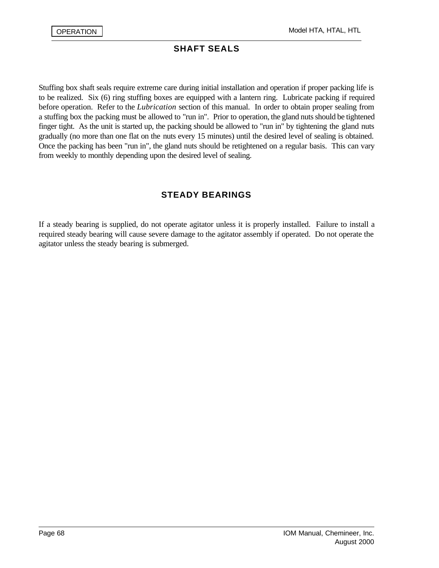ׇ֖֖֖֚֚֚֡֬

# **SHAFT SEALS**

Stuffing box shaft seals require extreme care during initial installation and operation if proper packing life is to be realized. Six (6) ring stuffing boxes are equipped with a lantern ring. Lubricate packing if required before operation. Refer to the *Lubrication* section of this manual. In order to obtain proper sealing from a stuffing box the packing must be allowed to "run in". Prior to operation, the gland nuts should be tightened finger tight. As the unit is started up, the packing should be allowed to "run in" by tightening the gland nuts gradually (no more than one flat on the nuts every 15 minutes) until the desired level of sealing is obtained. Once the packing has been "run in", the gland nuts should be retightened on a regular basis. This can vary from weekly to monthly depending upon the desired level of sealing.

# **STEADY BEARINGS**

If a steady bearing is supplied, do not operate agitator unless it is properly installed. Failure to install a required steady bearing will cause severe damage to the agitator assembly if operated. Do not operate the agitator unless the steady bearing is submerged.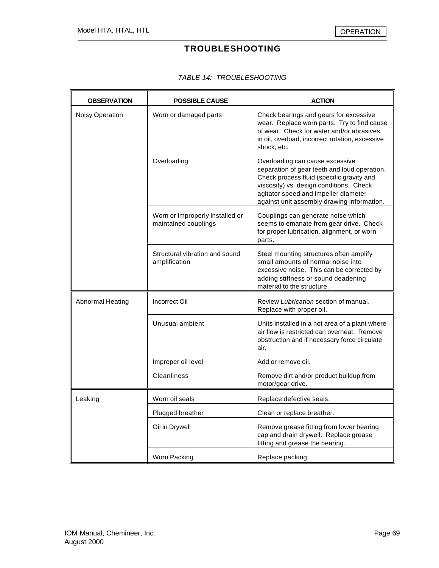## **TROUBLESHOOTING**

#### *TABLE 14: TROUBLESHOOTING*

| <b>OBSERVATION</b>      | <b>POSSIBLE CAUSE</b>                                   | <b>ACTION</b>                                                                                                                                                                                                                                                 |
|-------------------------|---------------------------------------------------------|---------------------------------------------------------------------------------------------------------------------------------------------------------------------------------------------------------------------------------------------------------------|
| Noisy Operation         | Worn or damaged parts                                   | Check bearings and gears for excessive<br>wear. Replace worn parts. Try to find cause<br>of wear. Check for water and/or abrasives<br>in oil, overload, incorrect rotation, excessive<br>shock, etc.                                                          |
|                         | Overloading                                             | Overloading can cause excessive<br>separation of gear teeth and loud operation.<br>Check process fluid (specific gravity and<br>viscosity) vs. design conditions. Check<br>agitator speed and impeller diameter<br>against unit assembly drawing information. |
|                         | Worn or improperly installed or<br>maintained couplings | Couplings can generate noise which<br>seems to emanate from gear drive. Check<br>for proper lubrication, alignment, or worn<br>parts.                                                                                                                         |
|                         | Structural vibration and sound<br>amplification         | Steel mounting structures often amplify<br>small amounts of normal noise into<br>excessive noise. This can be corrected by<br>adding stiffness or sound deadening<br>material to the structure.                                                               |
| <b>Abnormal Heating</b> | Incorrect Oil                                           | Review Lubrication section of manual.<br>Replace with proper oil.                                                                                                                                                                                             |
|                         | Unusual ambient                                         | Units installed in a hot area of a plant where<br>air flow is restricted can overheat. Remove<br>obstruction and if necessary force circulate<br>air.                                                                                                         |
|                         | Improper oil level                                      | Add or remove oil.                                                                                                                                                                                                                                            |
|                         | <b>Cleanliness</b>                                      | Remove dirt and/or product buildup from<br>motor/gear drive.                                                                                                                                                                                                  |
| Leaking                 | Worn oil seals                                          | Replace defective seals.                                                                                                                                                                                                                                      |
|                         | Plugged breather                                        | Clean or replace breather.                                                                                                                                                                                                                                    |
|                         | Oil in Drywell                                          | Remove grease fitting from lower bearing<br>cap and drain drywell. Replace grease<br>fitting and grease the bearing.                                                                                                                                          |
|                         | Worn Packing                                            | Replace packing.                                                                                                                                                                                                                                              |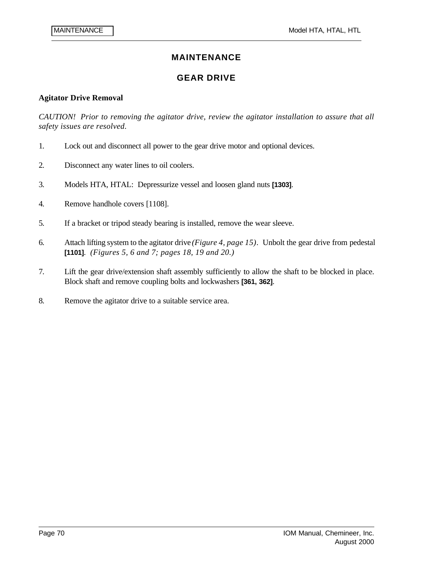l

### **MAINTENANCE**

## **GEAR DRIVE**

#### **Agitator Drive Removal**

*CAUTION! Prior to removing the agitator drive, review the agitator installation to assure that all safety issues are resolved.*

- 1. Lock out and disconnect all power to the gear drive motor and optional devices.
- 2. Disconnect any water lines to oil coolers.
- 3. Models HTA, HTAL: Depressurize vessel and loosen gland nuts **[1303]**.
- 4. Remove handhole covers [1108].
- 5. If a bracket or tripod steady bearing is installed, remove the wear sleeve.
- 6. Attach lifting system to the agitator drive *(Figure 4, page 15)*. Unbolt the gear drive from pedestal **[1101]**. *(Figures 5, 6 and 7; pages 18, 19 and 20.)*
- 7. Lift the gear drive/extension shaft assembly sufficiently to allow the shaft to be blocked in place. Block shaft and remove coupling bolts and lockwashers **[361, 362]**.
- 8. Remove the agitator drive to a suitable service area.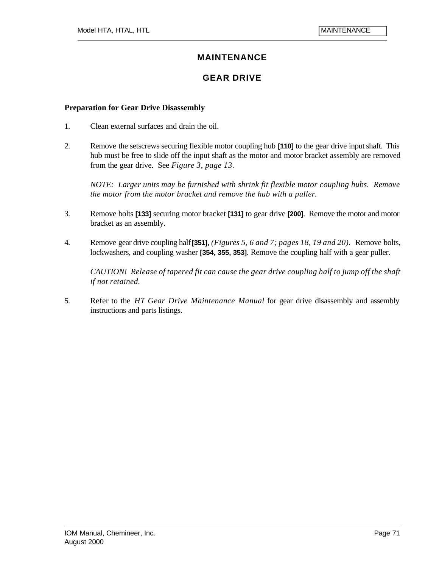#### **MAINTENANCE**

#### **GEAR DRIVE**

#### **Preparation for Gear Drive Disassembly**

- 1. Clean external surfaces and drain the oil.
- 2. Remove the setscrews securing flexible motor coupling hub **[110]** to the gear drive input shaft. This hub must be free to slide off the input shaft as the motor and motor bracket assembly are removed from the gear drive. See *Figure 3, page 13*.

*NOTE: Larger units may be furnished with shrink fit flexible motor coupling hubs. Remove the motor from the motor bracket and remove the hub with a puller.*

- 3. Remove bolts **[133]** securing motor bracket **[131]** to gear drive **[200]**. Remove the motor and motor bracket as an assembly.
- 4. Remove gear drive coupling half **[351],** *(Figures 5, 6 and 7; pages 18, 19 and 20).* Remove bolts, lockwashers, and coupling washer **[354, 355, 353]**. Remove the coupling half with a gear puller.

*CAUTION! Release of tapered fit can cause the gear drive coupling half to jump off the shaft if not retained.*

5. Refer to the *HT Gear Drive Maintenance Manual* for gear drive disassembly and assembly instructions and parts listings.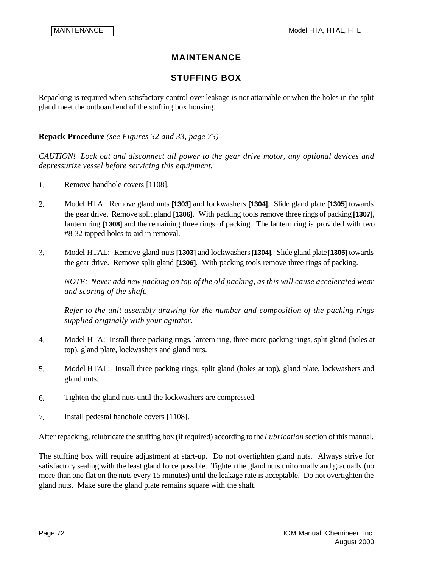l

## **MAINTENANCE**

## **STUFFING BOX**

Repacking is required when satisfactory control over leakage is not attainable or when the holes in the split gland meet the outboard end of the stuffing box housing.

#### **Repack Procedure** *(see Figures 32 and 33, page 73)*

*CAUTION! Lock out and disconnect all power to the gear drive motor, any optional devices and depressurize vessel before servicing this equipment.*

- 1. Remove handhole covers [1108].
- 2. Model HTA: Remove gland nuts **[1303]** and lockwashers **[1304]**. Slide gland plate **[1305]** towards the gear drive. Remove split gland **[1306]**. With packing tools remove three rings of packing **[1307]**, lantern ring **[1308]** and the remaining three rings of packing. The lantern ring is provided with two #8-32 tapped holes to aid in removal.
- 3. Model HTAL: Remove gland nuts **[1303]** and lockwashers **[1304]**. Slide gland plate **[1305]** towards the gear drive. Remove split gland **[1306]**. With packing tools remove three rings of packing.

*NOTE: Never add new packing on top of the old packing, as this will cause accelerated wear and scoring of the shaft.*

*Refer to the unit assembly drawing for the number and composition of the packing rings supplied originally with your agitator.*

- 4. Model HTA: Install three packing rings, lantern ring, three more packing rings, split gland (holes at top), gland plate, lockwashers and gland nuts.
- 5. Model HTAL: Install three packing rings, split gland (holes at top), gland plate, lockwashers and gland nuts.
- 6. Tighten the gland nuts until the lockwashers are compressed.
- 7. Install pedestal handhole covers [1108].

After repacking, relubricate the stuffing box (if required) according to the *Lubrication* section of this manual.

The stuffing box will require adjustment at start-up. Do not overtighten gland nuts. Always strive for satisfactory sealing with the least gland force possible. Tighten the gland nuts uniformally and gradually (no more than one flat on the nuts every 15 minutes) until the leakage rate is acceptable. Do not overtighten the gland nuts. Make sure the gland plate remains square with the shaft.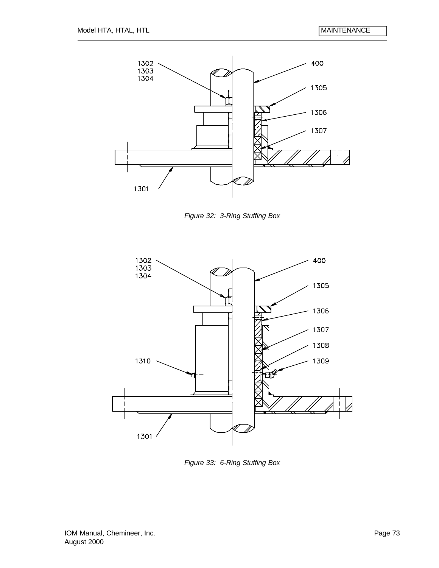

*Figure 32: 3-Ring Stuffing Box*



*Figure 33: 6-Ring Stuffing Box*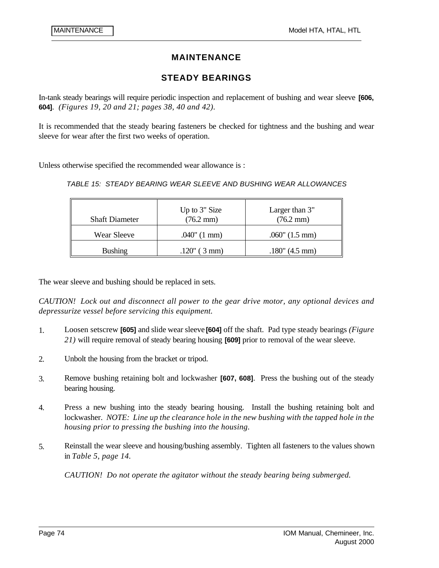l

#### **MAINTENANCE**

#### **STEADY BEARINGS**

In-tank steady bearings will require periodic inspection and replacement of bushing and wear sleeve **[606, 604]**. *(Figures 19, 20 and 21; pages 38, 40 and 42).*

It is recommended that the steady bearing fasteners be checked for tightness and the bushing and wear sleeve for wear after the first two weeks of operation.

Unless otherwise specified the recommended wear allowance is :

*TABLE 15: STEADY BEARING WEAR SLEEVE AND BUSHING WEAR ALLOWANCES*

| <b>Shaft Diameter</b> | Up to 3" Size<br>$(76.2 \text{ mm})$ | Larger than 3"<br>$(76.2 \text{ mm})$ |
|-----------------------|--------------------------------------|---------------------------------------|
| Wear Sleeve           | $.040$ " (1 mm)                      | $.060$ " $(1.5 \text{ mm})$           |
| <b>Bushing</b>        | $.120$ " (3 mm)                      | $.180$ " (4.5 mm)                     |

The wear sleeve and bushing should be replaced in sets.

*CAUTION! Lock out and disconnect all power to the gear drive motor, any optional devices and depressurize vessel before servicing this equipment.*

- 1. Loosen setscrew **[605]** and slide wear sleeve **[604]** off the shaft. Pad type steady bearings *(Figure 21)* will require removal of steady bearing housing **[609]** prior to removal of the wear sleeve.
- 2. Unbolt the housing from the bracket or tripod.
- 3. Remove bushing retaining bolt and lockwasher **[607, 608]**. Press the bushing out of the steady bearing housing.
- 4. Press a new bushing into the steady bearing housing. Install the bushing retaining bolt and lockwasher. *NOTE: Line up the clearance hole in the new bushing with the tapped hole in the housing prior to pressing the bushing into the housing.*
- 5. Reinstall the wear sleeve and housing/bushing assembly. Tighten all fasteners to the values shown in *Table 5, page 14.*

*CAUTION! Do not operate the agitator without the steady bearing being submerged.*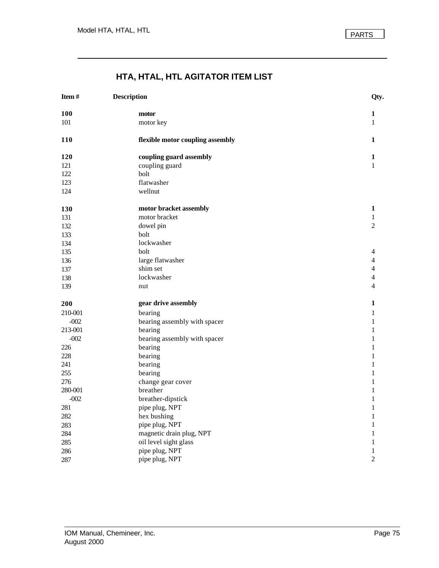# **HTA, HTAL, HTL AGITATOR ITEM LIST**

| Item#   | <b>Description</b>               | Qty.           |
|---------|----------------------------------|----------------|
| 100     | motor                            | 1              |
| 101     | motor key                        | $\mathbf{1}$   |
| 110     | flexible motor coupling assembly | 1              |
| 120     | coupling guard assembly          | $\mathbf{1}$   |
| 121     | coupling guard                   | $\mathbf{1}$   |
| 122     | bolt                             |                |
| 123     | flatwasher                       |                |
| 124     | wellnut                          |                |
| 130     | motor bracket assembly           | $\mathbf{1}$   |
| 131     | motor bracket                    | $\mathbf{1}$   |
| 132     | dowel pin                        | $\mathfrak{2}$ |
| 133     | bolt                             |                |
| 134     | lockwasher                       |                |
| 135     | bolt                             | 4              |
| 136     | large flatwasher                 | $\overline{4}$ |
| 137     | shim set                         | $\overline{4}$ |
| 138     | lockwasher                       | $\overline{4}$ |
| 139     | nut                              | 4              |
| 200     | gear drive assembly              | 1              |
| 210-001 | bearing                          | 1              |
| $-002$  | bearing assembly with spacer     | 1              |
| 213-001 | bearing                          | $\mathbf{1}$   |
| $-002$  | bearing assembly with spacer     | 1              |
| 226     | bearing                          | 1              |
| 228     | bearing                          | 1              |
| 241     | bearing                          | 1              |
| 255     | bearing                          | 1              |
| 276     | change gear cover                | 1              |
| 280-001 | breather                         | 1              |
| $-002$  | breather-dipstick                | 1              |
| 281     | pipe plug, NPT                   | 1              |
| 282     | hex bushing                      | 1              |
| 283     | pipe plug, NPT                   | 1              |
| 284     | magnetic drain plug, NPT         | 1              |
| 285     | oil level sight glass            | 1              |
| 286     | pipe plug, NPT                   | 1              |
| 287     | pipe plug, NPT                   | $\overline{2}$ |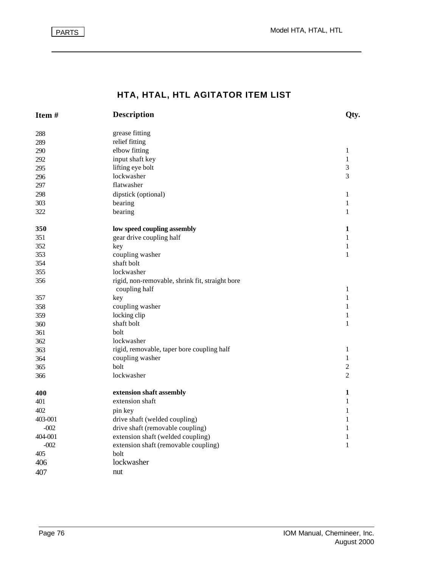# **HTA, HTAL, HTL AGITATOR ITEM LIST**

| Item#   | <b>Description</b>                                               | Qty.           |
|---------|------------------------------------------------------------------|----------------|
| 288     | grease fitting                                                   |                |
| 289     | relief fitting                                                   |                |
| 290     | elbow fitting                                                    | $\mathbf{1}$   |
| 292     | input shaft key                                                  | $\mathbf{1}$   |
| 295     | lifting eye bolt                                                 | 3              |
| 296     | lockwasher                                                       | 3              |
| 297     | flatwasher                                                       |                |
| 298     | dipstick (optional)                                              | $\mathbf{1}$   |
| 303     | bearing                                                          | $\mathbf{1}$   |
| 322     | bearing                                                          | 1              |
| 350     | low speed coupling assembly                                      | 1              |
| 351     | gear drive coupling half                                         | 1              |
| 352     | key                                                              | $\mathbf{1}$   |
| 353     | coupling washer                                                  | $\mathbf{1}$   |
| 354     | shaft bolt                                                       |                |
| 355     | lockwasher                                                       |                |
| 356     | rigid, non-removable, shrink fit, straight bore<br>coupling half | 1              |
| 357     | key                                                              | 1              |
| 358     | coupling washer                                                  | 1              |
| 359     | locking clip                                                     | $\mathbf{1}$   |
| 360     | shaft bolt                                                       | $\mathbf{1}$   |
| 361     | bolt                                                             |                |
| 362     | lockwasher                                                       |                |
| 363     | rigid, removable, taper bore coupling half                       | $\mathbf{1}$   |
| 364     | coupling washer                                                  | $\mathbf{1}$   |
| 365     | bolt                                                             | $\overline{c}$ |
| 366     | lockwasher                                                       | $\overline{2}$ |
| 400     | extension shaft assembly                                         | 1              |
| 401     | extension shaft                                                  | 1              |
| 402     | pin key                                                          | 1              |
| 403-001 | drive shaft (welded coupling)                                    | 1              |
| $-002$  | drive shaft (removable coupling)                                 | 1              |
| 404-001 | extension shaft (welded coupling)                                | $\mathbf{1}$   |
| $-002$  | extension shaft (removable coupling)                             | 1              |
| 405     | bolt                                                             |                |
| 406     | lockwasher                                                       |                |
| 407     | nut                                                              |                |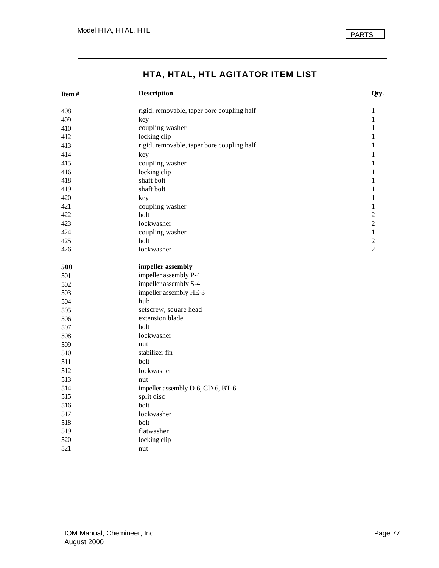# **HTA, HTAL, HTL AGITATOR ITEM LIST**

| Item# | <b>Description</b>                         | Qty.           |
|-------|--------------------------------------------|----------------|
| 408   | rigid, removable, taper bore coupling half | $\mathbf{1}$   |
| 409   | key                                        | $\mathbf{1}$   |
| 410   | coupling washer                            | 1              |
| 412   | locking clip                               | 1              |
| 413   | rigid, removable, taper bore coupling half | 1              |
| 414   | key                                        | 1              |
| 415   | coupling washer                            | 1              |
| 416   | locking clip                               | 1              |
| 418   | shaft bolt                                 | 1              |
| 419   | shaft bolt                                 | 1              |
| 420   | key                                        | 1              |
| 421   | coupling washer                            | $\mathbf{1}$   |
| 422   | bolt                                       | $\overline{c}$ |
| 423   | lockwasher                                 | $\overline{2}$ |
| 424   | coupling washer                            | $\mathbf{1}$   |
| 425   | bolt                                       | $\overline{2}$ |
| 426   | lockwasher                                 | $\overline{2}$ |
| 500   | impeller assembly                          |                |
| 501   | impeller assembly P-4                      |                |
| 502   | impeller assembly S-4                      |                |
| 503   | impeller assembly HE-3                     |                |
| 504   | hub                                        |                |
| 505   | setscrew, square head                      |                |
| 506   | extension blade                            |                |
| 507   | bolt                                       |                |
| 508   | lockwasher                                 |                |
| 509   | nut                                        |                |
| 510   | stabilizer fin                             |                |
| 511   | bolt                                       |                |
| 512   | lockwasher                                 |                |
| 513   | nut                                        |                |
| 514   | impeller assembly D-6, CD-6, BT-6          |                |
| 515   | split disc                                 |                |
| 516   | bolt                                       |                |
| 517   | lockwasher                                 |                |
| 518   | bolt                                       |                |
| 519   | flatwasher                                 |                |
| 520   | locking clip                               |                |
| 521   | nut                                        |                |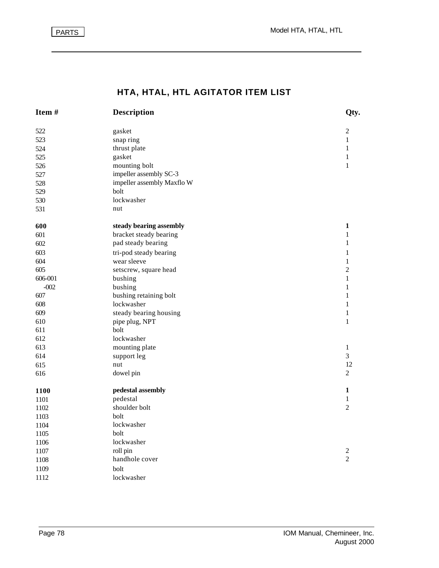# **HTA, HTAL, HTL AGITATOR ITEM LIST**

| Item#   | <b>Description</b>         | Qty.             |
|---------|----------------------------|------------------|
| 522     | gasket                     | $\overline{2}$   |
| 523     | snap ring                  | $\mathbf{1}$     |
| 524     | thrust plate               | $\mathbf{1}$     |
| 525     | gasket                     | $\mathbf{1}$     |
| 526     | mounting bolt              | $\mathbf{1}$     |
| 527     | impeller assembly SC-3     |                  |
| 528     | impeller assembly Maxflo W |                  |
| 529     | bolt                       |                  |
| 530     | lockwasher                 |                  |
| 531     | nut                        |                  |
| 600     | steady bearing assembly    | 1                |
| 601     | bracket steady bearing     | 1                |
| 602     | pad steady bearing         | $\mathbf{1}$     |
| 603     | tri-pod steady bearing     | $\mathbf{1}$     |
| 604     | wear sleeve                | $\mathbf{1}$     |
| 605     | setscrew, square head      | $\overline{c}$   |
| 606-001 | bushing                    | $\mathbf{1}$     |
| $-002$  | bushing                    | $\mathbf{1}$     |
| 607     | bushing retaining bolt     | 1                |
| 608     | lockwasher                 | $\mathbf{1}$     |
| 609     | steady bearing housing     | $\mathbf{1}$     |
| 610     | pipe plug, NPT             | $\mathbf{1}$     |
| 611     | bolt                       |                  |
| 612     | lockwasher                 |                  |
| 613     | mounting plate             | $\mathbf{1}$     |
| 614     | support leg                | 3                |
| 615     | nut                        | 12               |
| 616     | dowel pin                  | 2                |
| 1100    | pedestal assembly          | 1                |
| 1101    | pedestal                   | $\mathbf{1}$     |
| 1102    | shoulder bolt              | $\overline{2}$   |
| 1103    | bolt                       |                  |
| 1104    | lockwasher                 |                  |
| 1105    | bolt                       |                  |
| 1106    | lockwasher                 |                  |
| 1107    | roll pin                   | $\boldsymbol{2}$ |
| 1108    | handhole cover             | $\overline{2}$   |
| 1109    | bolt                       |                  |
| 1112    | lockwasher                 |                  |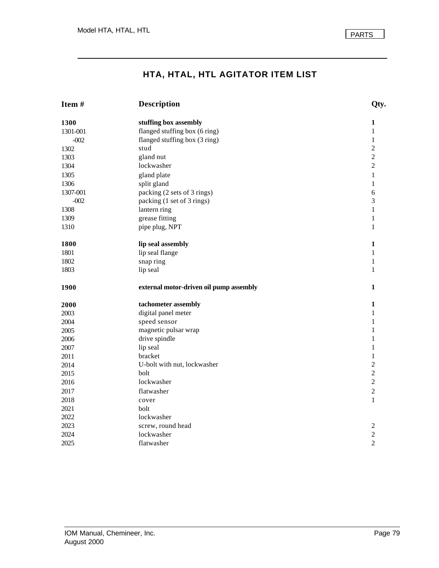# **HTA, HTAL, HTL AGITATOR ITEM LIST**

| Item#    | <b>Description</b>                      | Qty.                    |
|----------|-----------------------------------------|-------------------------|
| 1300     | stuffing box assembly                   | 1                       |
| 1301-001 | flanged stuffing box (6 ring)           | $\mathbf{1}$            |
| $-002$   | flanged stuffing box (3 ring)           | 1                       |
| 1302     | stud                                    | $\overline{c}$          |
| 1303     | gland nut                               | $\overline{c}$          |
| 1304     | lockwasher                              | $\overline{2}$          |
| 1305     | gland plate                             | $\mathbf{1}$            |
| 1306     | split gland                             | $\mathbf{1}$            |
| 1307-001 | packing (2 sets of 3 rings)             | 6                       |
| $-002$   | packing (1 set of 3 rings)              | 3                       |
| 1308     | lantern ring                            | $\mathbf{1}$            |
| 1309     | grease fitting                          | $\mathbf{1}$            |
| 1310     | pipe plug, NPT                          | 1                       |
| 1800     | lip seal assembly                       | $\mathbf{1}$            |
| 1801     | lip seal flange                         | 1                       |
| 1802     | snap ring                               | $\mathbf{1}$            |
| 1803     | lip seal                                | 1                       |
| 1900     | external motor-driven oil pump assembly | 1                       |
| 2000     | tachometer assembly                     | 1                       |
| 2003     | digital panel meter                     | 1                       |
| 2004     | speed sensor                            | 1                       |
| 2005     | magnetic pulsar wrap                    | $\mathbf{1}$            |
| 2006     | drive spindle                           | 1                       |
| 2007     | lip seal                                | $\mathbf{1}$            |
| 2011     | bracket                                 | $\mathbf{1}$            |
| 2014     | U-bolt with nut, lockwasher             | $\overline{c}$          |
| 2015     | bolt                                    | $\overline{c}$          |
| 2016     | lockwasher                              | $\overline{c}$          |
| 2017     | flatwasher                              | $\sqrt{2}$              |
| 2018     | cover                                   | $\mathbf{1}$            |
| 2021     | bolt                                    |                         |
| 2022     | lockwasher                              |                         |
| 2023     | screw, round head                       | $\sqrt{2}$              |
| 2024     | lockwasher                              | $\overline{\mathbf{c}}$ |
| 2025     | flatwasher                              | $\overline{2}$          |